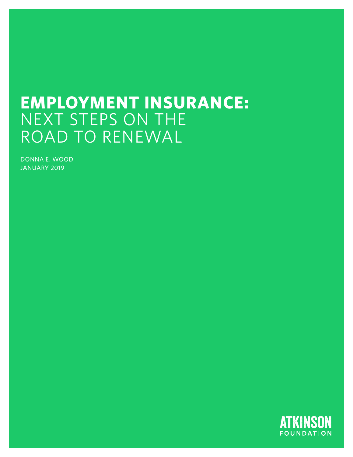# **EMPLOYMENT INSURANCE:**  NEXT STEPS ON THE ROAD TO RENEWAL

DONNA E. WOOD JANUARY 2019

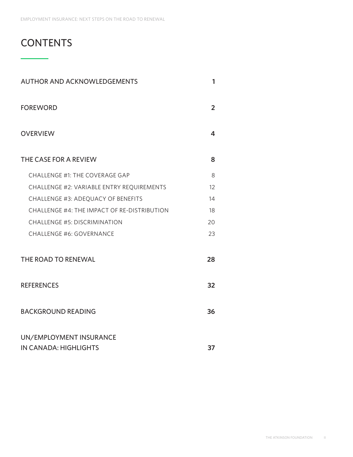## **CONTENTS**

| <b>AUTHOR AND ACKNOWLEDGEMENTS</b>               | 1              |
|--------------------------------------------------|----------------|
| <b>FOREWORD</b>                                  | $\overline{2}$ |
| <b>OVERVIEW</b>                                  | 4              |
| THE CASE FOR A REVIEW                            | 8              |
| <b>CHALLENGE #1: THE COVERAGE GAP</b>            | 8              |
| CHALLENGE #2: VARIABLE ENTRY REQUIREMENTS        | 12             |
| CHALLENGE #3: ADEQUACY OF BENEFITS               | 14             |
| CHALLENGE #4: THE IMPACT OF RE-DISTRIBUTION      | 18             |
| <b>CHALLENGE #5: DISCRIMINATION</b>              | 20             |
| <b>CHALLENGE #6: GOVERNANCE</b>                  | 23             |
| THE ROAD TO RENEWAL                              | 28             |
| <b>REFERENCES</b>                                | 32             |
| <b>BACKGROUND READING</b>                        | 36             |
| UN/EMPLOYMENT INSURANCE<br>IN CANADA: HIGHLIGHTS | 37             |
|                                                  |                |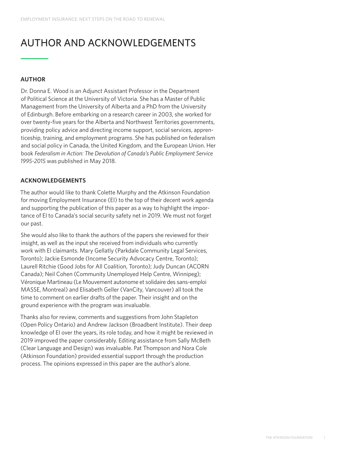## AUTHOR AND ACKNOWLEDGEMENTS

#### **AUTHOR**

Dr. Donna E. Wood is an Adjunct Assistant Professor in the Department of Political Science at the University of Victoria. She has a Master of Public Management from the University of Alberta and a PhD from the University of Edinburgh. Before embarking on a research career in 2003, she worked for over twenty-five years for the Alberta and Northwest Territories governments, providing policy advice and directing income support, social services, apprenticeship, training, and employment programs. She has published on federalism and social policy in Canada, the United Kingdom, and the European Union. Her book *Federalism in Action: The Devolution of Canada's Public Employment Service 1995-2015* was published in May 2018.

### **ACKNOWLEDGEMENTS**

The author would like to thank Colette Murphy and the Atkinson Foundation for moving Employment Insurance (EI) to the top of their decent work agenda and supporting the publication of this paper as a way to highlight the importance of EI to Canada's social security safety net in 2019. We must not forget our past.

She would also like to thank the authors of the papers she reviewed for their insight, as well as the input she received from individuals who currently work with EI claimants. Mary Gellatly (Parkdale Community Legal Services, Toronto); Jackie Esmonde (Income Security Advocacy Centre, Toronto); Laurell Ritchie (Good Jobs for All Coalition, Toronto); Judy Duncan (ACORN Canada); Neil Cohen (Community Unemployed Help Centre, Winnipeg); Véronique Martineau (Le Mouvement autonome et solidaire des sans-emploi MASSE, Montreal) and Elisabeth Geller (VanCity, Vancouver) all took the time to comment on earlier drafts of the paper. Their insight and on the ground experience with the program was invaluable.

Thanks also for review, comments and suggestions from John Stapleton (Open Policy Ontario) and Andrew Jackson (Broadbent Institute). Their deep knowledge of EI over the years, its role today, and how it might be reviewed in 2019 improved the paper considerably. Editing assistance from Sally McBeth (Clear Language and Design) was invaluable. Pat Thompson and Nora Cole (Atkinson Foundation) provided essential support through the production process. The opinions expressed in this paper are the author's alone.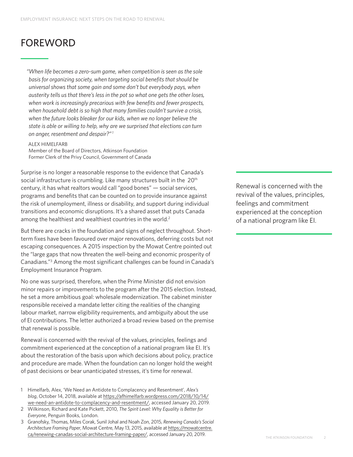## FOREWORD

*"When life becomes a zero-sum game, when competition is seen as the sole basis for organizing society, when targeting social benefits that should be universal shows that some gain and some don't but everybody pays, when austerity tells us that there's less in the pot so what one gets the other loses, when work is increasingly precarious with few benefits and fewer prospects, when household debt is so high that many families couldn't survive a crisis, when the future looks bleaker for our kids, when we no longer believe the state is able or willing to help, why are we surprised that elections can turn on anger, resentment and despair?"1*

ALEX HIMELFARB

Member of the Board of Directors, Atkinson Foundation Former Clerk of the Privy Council, Government of Canada

Surprise is no longer a reasonable response to the evidence that Canada's social infrastructure is crumbling. Like many structures built in the 20<sup>th</sup> century, it has what realtors would call "good bones" — social services, programs and benefits that can be counted on to provide insurance against the risk of unemployment, illness or disability, and support during individual transitions and economic disruptions. It's a shared asset that puts Canada among the healthiest and wealthiest countries in the world.<sup>2</sup>

But there are cracks in the foundation and signs of neglect throughout. Shortterm fixes have been favoured over major renovations, deferring costs but not escaping consequences. A 2015 inspection by the Mowat Centre pointed out the "large gaps that now threaten the well-being and economic prosperity of Canadians."3 Among the most significant challenges can be found in Canada's Employment Insurance Program.

No one was surprised, therefore, when the Prime Minister did not envision minor repairs or improvements to the program after the 2015 election. Instead, he set a more ambitious goal: wholesale modernization. The cabinet minister responsible received a mandate letter citing the realities of the changing labour market, narrow eligibility requirements, and ambiguity about the use of EI contributions. The letter authorized a broad review based on the premise that renewal is possible.

Renewal is concerned with the revival of the values, principles, feelings and commitment experienced at the conception of a national program like EI. It's about the restoration of the basis upon which decisions about policy, practice and procedure are made. When the foundation can no longer hold the weight of past decisions or bear unanticipated stresses, it's time for renewal.

- 1 Himelfarb, Alex, 'We Need an Antidote to Complacency and Resentment', *Alex's blog*, October 14, 2018, available at [https://afhimelfarb.wordpress.com/2018/10/14/](https://afhimelfarb.wordpress.com/2018/10/14/we-need-an-antidote-to-complacency-and-resentment/) [we-need-an-antidote-to-complacency-and-resentment/,](https://afhimelfarb.wordpress.com/2018/10/14/we-need-an-antidote-to-complacency-and-resentment/) accessed January 20, 2019.
- 2 Wilkinson, Richard and Kate Pickett, 2010, *The Spirit Level: Why Equality is Better for Everyone*, Penguin Books, London.
- 3 Granofsky, Thomas, Miles Corak, Sunil Johal and Noah Zon, 2015, *Renewing Canada's Social Architecture Framing Paper*, Mowat Centre, May 13, 2015, available at [https://mowatcentre.](https://mowatcentre.ca/renewing-canadas-social-architecture-framing-paper/) [ca/renewing-canadas-social-architecture-framing-paper/](https://mowatcentre.ca/renewing-canadas-social-architecture-framing-paper/), accessed January 20, 2019.

Renewal is concerned with the revival of the values, principles, feelings and commitment experienced at the conception of a national program like EI.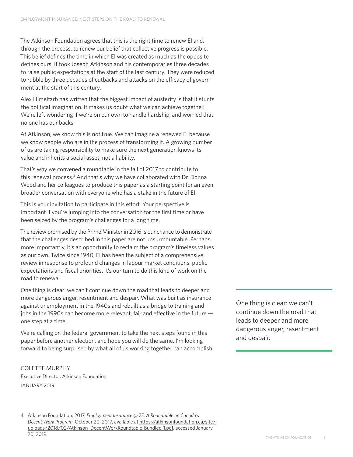The Atkinson Foundation agrees that this is the right time to renew EI and, through the process, to renew our belief that collective progress is possible. This belief defines the time in which EI was created as much as the opposite defines ours. It took Joseph Atkinson and his contemporaries three decades to raise public expectations at the start of the last century. They were reduced to rubble by three decades of cutbacks and attacks on the efficacy of government at the start of this century.

Alex Himelfarb has written that the biggest impact of austerity is that it stunts the political imagination. It makes us doubt what we can achieve together. We're left wondering if we're on our own to handle hardship, and worried that no one has our backs.

At Atkinson, we know this is not true. We can imagine a renewed EI because we know people who are in the process of transforming it. A growing number of us are taking responsibility to make sure the next generation knows its value and inherits a social asset, not a liability.

That's why we convened a roundtable in the fall of 2017 to contribute to this renewal process.<sup>4</sup> And that's why we have collaborated with Dr. Donna Wood and her colleagues to produce this paper as a starting point for an even broader conversation with everyone who has a stake in the future of EI.

This is your invitation to participate in this effort. Your perspective is important if you're jumping into the conversation for the first time or have been seized by the program's challenges for a long time.

The review promised by the Prime Minister in 2016 is our chance to demonstrate that the challenges described in this paper are not unsurmountable. Perhaps more importantly, it's an opportunity to reclaim the program's timeless values as our own. Twice since 1940, EI has been the subject of a comprehensive review in response to profound changes in labour market conditions, public expectations and fiscal priorities. It's our turn to do this kind of work on the road to renewal.

One thing is clear: we can't continue down the road that leads to deeper and more dangerous anger, resentment and despair. What was built as insurance against unemployment in the 1940s and rebuilt as a bridge to training and jobs in the 1990s can become more relevant, fair and effective in the future one step at a time.

We're calling on the federal government to take the next steps found in this paper before another election, and hope you will do the same. I'm looking forward to being surprised by what all of us working together can accomplish.

COLETTE MURPHY Executive Director, Atkinson Foundation JANUARY 2019

4 Atkinson Foundation, 2017, *Employment Insurance @ 75: A Roundtable on Canada's Decent Work Program*, October 20, 2017, available at [https://atkinsonfoundation.ca/site/](https://atkinsonfoundation.ca/site/uploads/2018/02/Atkinson_DecentWorkRoundtable-Bundled-1.pdf) [uploads/2018/02/Atkinson\\_DecentWorkRoundtable-Bundled-1.pdf](https://atkinsonfoundation.ca/site/uploads/2018/02/Atkinson_DecentWorkRoundtable-Bundled-1.pdf), accessed January 20, 2019.

One thing is clear: we can't continue down the road that leads to deeper and more dangerous anger, resentment and despair.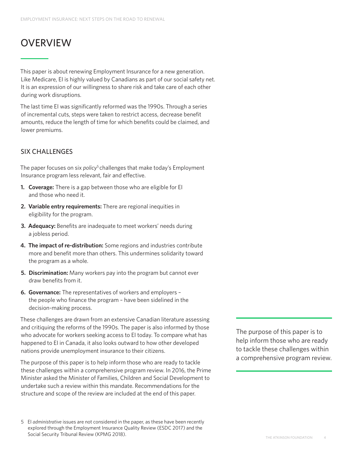## **OVERVIEW**

This paper is about renewing Employment Insurance for a new generation. Like Medicare, EI is highly valued by Canadians as part of our social safety net. It is an expression of our willingness to share risk and take care of each other during work disruptions.

The last time EI was significantly reformed was the 1990s. Through a series of incremental cuts, steps were taken to restrict access, decrease benefit amounts, reduce the length of time for which benefits could be claimed, and lower premiums.

## SIX CHALLENGES

The paper focuses on six *policy<sup>5</sup>* challenges that make today's Employment Insurance program less relevant, fair and effective.

- **1. Coverage:** There is a gap between those who are eligible for EI and those who need it.
- **2. Variable entry requirements:** There are regional inequities in eligibility for the program.
- **3. Adequacy:** Benefits are inadequate to meet workers' needs during a jobless period.
- **4. The impact of re-distribution:** Some regions and industries contribute more and benefit more than others. This undermines solidarity toward the program as a whole.
- **5. Discrimination:** Many workers pay into the program but cannot ever draw benefits from it.
- **6. Governance:** The representatives of workers and employers the people who finance the program – have been sidelined in the decision-making process.

These challenges are drawn from an extensive Canadian literature assessing and critiquing the reforms of the 1990s. The paper is also informed by those who advocate for workers seeking access to EI today. To compare what has happened to EI in Canada, it also looks outward to how other developed nations provide unemployment insurance to their citizens.

The purpose of this paper is to help inform those who are ready to tackle these challenges within a comprehensive program review. In 2016, the Prime Minister asked the Minister of Families, Children and Social Development to undertake such a review within this mandate. Recommendations for the structure and scope of the review are included at the end of this paper.

The purpose of this paper is to help inform those who are ready to tackle these challenges within a comprehensive program review.

<sup>5</sup> EI *administrative* issues are not considered in the paper, as these have been recently explored through the Employment Insurance Quality Review (ESDC 2017) and the Social Security Tribunal Review (KPMG 2018).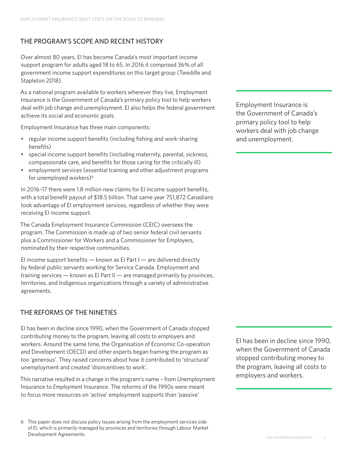## THE PROGRAM'S SCOPE AND RECENT HISTORY

Over almost 80 years, EI has become Canada's most important income support program for adults aged 18 to 65. In 2016 it comprised 36% of all government income support expenditures on this target group (Tweddle and Stapleton 2018).

As a national program available to workers wherever they live, Employment Insurance is the Government of Canada's primary policy tool to help workers deal with job change and unemployment. EI also helps the federal government achieve its social and economic goals.

Employment Insurance has three main components:

- regular income support benefits (including fishing and work-sharing benefits)
- special income support benefits (including maternity, parental, sickness, compassionate care, and benefits for those caring for the critically ill)
- employment services (essential training and other adjustment programs for unemployed workers)<sup>6</sup>

In 2016–17 there were 1.8 million new claims for EI income support benefits, with a total benefit payout of \$18.5 billion. That same year 751,872 Canadians took advantage of EI employment services, regardless of whether they were receiving EI income support.

The Canada Employment Insurance Commission (CEIC) oversees the program. The Commission is made up of two senior federal civil servants plus a Commissioner for Workers and a Commissioner for Employers, nominated by their respective communities.

EI income support benefits  $-$  known as EI Part I  $-$  are delivered directly by federal public servants working for Service Canada. Employment and training services — known as EI Part II — are managed primarily by provinces, territories, and Indigenous organizations through a variety of administrative agreements.

## THE REFORMS OF THE NINETIES

EI has been in decline since 1990, when the Government of Canada stopped contributing money to the program, leaving all costs to employers and workers. Around the same time, the Organisation of Economic Co-operation and Development (OECD) and other experts began framing the program as too 'generous'. They raised concerns about how it contributed to 'structural' unemployment and created 'disincentives to work'.

This narrative resulted in a change in the program's name – from *Un*employment Insurance to *Employment* Insurance. The reforms of the 1990s were meant to focus more resources on 'active' employment supports than 'passive'

Employment Insurance is the Government of Canada's primary policy tool to help workers deal with job change and unemployment.

EI has been in decline since 1990, when the Government of Canada stopped contributing money to the program, leaving all costs to employers and workers.

<sup>6</sup> This paper does not discuss policy issues arising from the employment services side of EI, which is primarily managed by provinces and territories through Labour Market Development Agreements.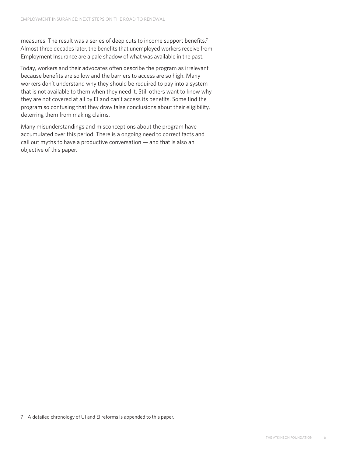measures. The result was a series of deep cuts to income support benefits.7 Almost three decades later, the benefits that unemployed workers receive from Employment Insurance are a pale shadow of what was available in the past.

Today, workers and their advocates often describe the program as irrelevant because benefits are so low and the barriers to access are so high. Many workers don't understand why they should be required to pay into a system that is not available to them when they need it. Still others want to know why they are not covered at all by EI and can't access its benefits. Some find the program so confusing that they draw false conclusions about their eligibility, deterring them from making claims.

Many misunderstandings and misconceptions about the program have accumulated over this period. There is a ongoing need to correct facts and call out myths to have a productive conversation — and that is also an objective of this paper.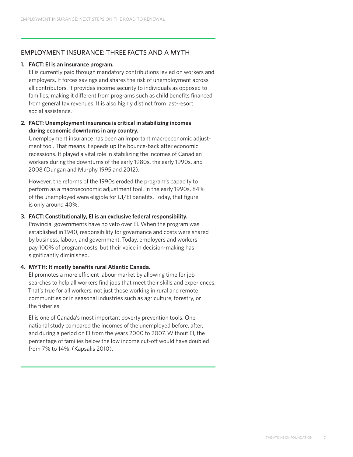### EMPLOYMENT INSURANCE: THREE FACTS AND A MYTH

#### **1. FACT: EI is an insurance program.**

EI is currently paid through mandatory contributions levied on workers and employers. It forces savings and shares the risk of unemployment across all contributors. It provides income security to individuals as opposed to families, making it different from programs such as child benefits financed from general tax revenues. It is also highly distinct from last-resort social assistance.

#### **2. FACT: Unemployment insurance is critical in stabilizing incomes during economic downturns in any country.**

Unemployment insurance has been an important macroeconomic adjustment tool. That means it speeds up the bounce-back after economic recessions. It played a vital role in stabilizing the incomes of Canadian workers during the downturns of the early 1980s, the early 1990s, and 2008 (Dungan and Murphy 1995 and 2012).

However, the reforms of the 1990s eroded the program's capacity to perform as a macroeconomic adjustment tool. In the early 1990s, 84% of the unemployed were eligible for UI/EI benefits. Today, that figure is only around 40%.

#### **3. FACT: Constitutionally, EI is an exclusive federal responsibility.**

Provincial governments have no veto over EI. When the program was established in 1940, responsibility for governance and costs were shared by business, labour, and government. Today, employers and workers pay 100% of program costs, but their voice in decision-making has significantly diminished.

#### **4. MYTH: It mostly benefits rural Atlantic Canada.**

EI promotes a more efficient labour market by allowing time for job searches to help all workers find jobs that meet their skills and experiences. That's true for all workers, not just those working in rural and remote communities or in seasonal industries such as agriculture, forestry, or the fisheries.

EI is one of Canada's most important poverty prevention tools. One national study compared the incomes of the unemployed before, after, and during a period on EI from the years 2000 to 2007. Without EI, the percentage of families below the low income cut-off would have doubled from 7% to 14%. (Kapsalis 2010).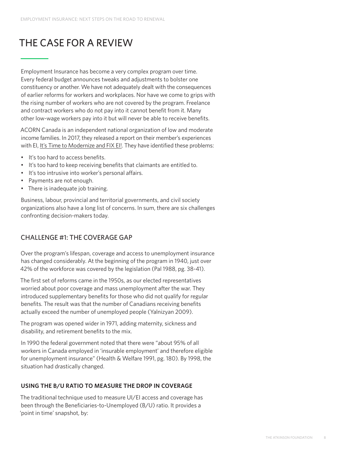## THE CASE FOR A REVIEW

Employment Insurance has become a very complex program over time. Every federal budget announces tweaks and adjustments to bolster one constituency or another. We have not adequately dealt with the consequences of earlier reforms for workers and workplaces. Nor have we come to grips with the rising number of workers who are not covered by the program. Freelance and contract workers who do not pay into it cannot benefit from it. Many other low-wage workers pay into it but will never be able to receive benefits.

ACORN Canada is an independent national organization of low and moderate income families. In 2017, they released a report on their member's experiences with EI, [It's Time to Modernize and FIX EI!](https://www.acorncanada.org/its-time-modernize-and-fix-ei). They have identified these problems:

- It's too hard to access benefits.
- It's too hard to keep receiving benefits that claimants are entitled to.
- It's too intrusive into worker's personal affairs.
- Payments are not enough.
- There is inadequate job training.

Business, labour, provincial and territorial governments, and civil society organizations also have a long list of concerns. In sum, there are six challenges confronting decision-makers today.

## CHALLENGE #1: THE COVERAGE GAP

Over the program's lifespan, coverage and access to unemployment insurance has changed considerably. At the beginning of the program in 1940, just over 42% of the workforce was covered by the legislation (Pal 1988, pg. 38-41).

The first set of reforms came in the 1950s, as our elected representatives worried about poor coverage and mass unemployment after the war. They introduced supplementary benefits for those who did not qualify for regular benefits. The result was that the number of Canadians receiving benefits actually exceed the number of unemployed people (Yalnizyan 2009).

The program was opened wider in 1971, adding maternity, sickness and disability, and retirement benefits to the mix.

In 1990 the federal government noted that there were "about 95% of all workers in Canada employed in 'insurable employment' and therefore eligible for unemployment insurance" (Health & Welfare 1991, pg. 180). By 1998, the situation had drastically changed.

#### **USING THE B/U RATIO TO MEASURE THE DROP IN COVERAGE**

The traditional technique used to measure UI/EI access and coverage has been through the Beneficiaries-to-Unemployed (B/U) ratio. It provides a 'point in time' snapshot, by: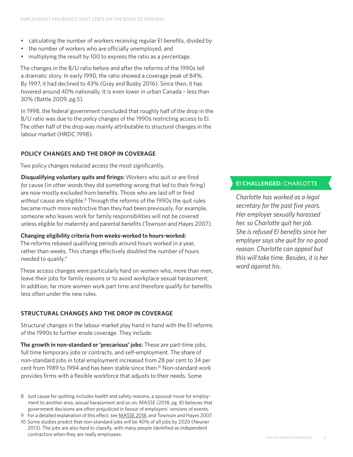- calculating the number of workers receiving regular EI benefits, divided by
- the number of workers who are officially unemployed, and
- multiplying the result by 100 to express the ratio as a percentage.

The changes in the B/U ratio before and after the reforms of the 1990s tell a dramatic story. In early 1990, the ratio showed a coverage peak of 84%. By 1997, it had declined to 43% (Gray and Busby 2016). Since then, it has hovered around 40% nationally. It is even lower in urban Canada – less than 30% (Battle 2009, pg.5).

In 1998, the federal government concluded that roughly half of the drop in the B/U ratio was due to the *policy* changes of the 1990s restricting access to EI. The other half of the drop was mainly attributable to *structural* changes in the labour market (HRDC 1998).

### **POLICY CHANGES AND THE DROP IN COVERAGE**

Two policy changes reduced access the most significantly.

**Disqualifying voluntary quits and firings:** Workers who quit or are fired *for* cause (in other words they did something wrong that led to their firing) are now mostly excluded from benefits. Those who are laid off or fired without cause are eligible.<sup>8</sup> Through the reforms of the 1990s the quit rules became much more restrictive than they had been previously. For example, someone who leaves work for family responsibilities will not be covered unless eligible for maternity and parental benefits (Townson and Hayes 2007).

#### **Changing eligibility criteria from weeks-worked to hours-worked:**

The reforms rebased qualifying periods around hours worked in a year, rather than weeks. This change effectively doubled the number of hours needed to qualify.9

These access changes were particularly hard on women who, more than men, leave their jobs for family reasons or to avoid workplace sexual harassment. In addition, far more women work part time and therefore qualify for benefits less often under the new rules.

## **STRUCTURAL CHANGES AND THE DROP IN COVERAGE**

Structural changes in the labour market play hand in hand with the EI reforms of the 1990s to further erode coverage. They include:

**The growth in non-standard or 'precarious' jobs:** These are part-time jobs, full time temporary jobs or contracts, and self-employment. The share of non-standard jobs in total employment increased from 28 per cent to 34 per cent from 1989 to 1994 and has been stable since then.<sup>10</sup> Non-standard work provides firms with a flexible workforce that adjusts to their needs. Some

- 8 Just cause for quitting includes health and safety reasons, a spousal move for employment to another area, sexual harassment and so on. MASSE (2018, pg. 8) believes that government decisions are often prejudiced in favour of employers' versions of events.
- 9 For a detailed explanation of this effect, see [MASSE 2018,](https://www.lemasse.org/wp-content/uploads/2018/10/Feuillet_anglais_F_web.pdf) and Townson and Hayes 2007.
- 10 Some studies predict that non-standard jobs will be 40% of all jobs by 2020 (Neuner 2013). The jobs are also hard to classify, with many people identified as independent contractors when they are really employees.

### **EI CHALLENGED:** CHARLOTTE

*Charlotte has worked as a legal secretary for the past five years. Her employer sexually harassed her, so Charlotte quit her job. She is refused EI benefits since her employer says she quit for no good reason. Charlotte can appeal but this will take time. Besides, it is her word against his.*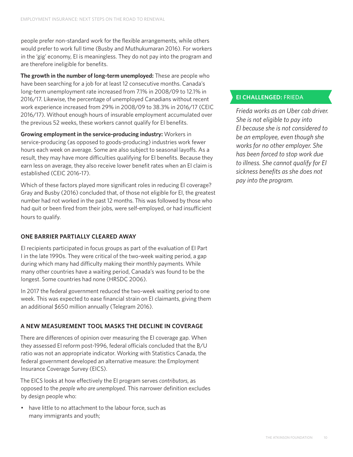people prefer non-standard work for the flexible arrangements, while others would prefer to work full time (Busby and Muthukumaran 2016). For workers in the 'gig' economy, EI is meaningless. They do not pay into the program and are therefore ineligible for benefits.

**The growth in the number of long-term unemployed:** These are people who have been searching for a job for at least 12 consecutive months. Canada's long-term unemployment rate increased from 7.1% in 2008/09 to 12.1% in 2016/17. Likewise, the percentage of unemployed Canadians without recent work experience increased from 29% in 2008/09 to 38.3% in 2016/17 (CEIC 2016/17). Without enough hours of insurable employment accumulated over the previous 52 weeks, these workers cannot qualify for EI benefits.

**Growing employment in the service-producing industry:** Workers in service-producing (as opposed to goods-producing) industries work fewer hours each week on average. Some are also subject to seasonal layoffs. As a result, they may have more difficulties qualifying for EI benefits. Because they earn less on average, they also receive lower benefit rates when an EI claim is established (CEIC 2016-17).

Which of these factors played more significant roles in reducing EI coverage? Gray and Busby (2016) concluded that, of those not eligible for EI, the greatest number had not worked in the past 12 months. This was followed by those who had quit or been fired from their jobs, were self-employed, or had insufficient hours to qualify.

#### **ONE BARRIER PARTIALLY CLEARED AWAY**

EI recipients participated in focus groups as part of the evaluation of EI Part I in the late 1990s. They were critical of the two-week waiting period, a gap during which many had difficulty making their monthly payments. While many other countries have a waiting period, Canada's was found to be the longest. Some countries had none (HRSDC 2006).

In 2017 the federal government reduced the two-week waiting period to one week. This was expected to ease financial strain on EI claimants, giving them an additional \$650 million annually (Telegram 2016).

## **A NEW MEASUREMENT TOOL MASKS THE DECLINE IN COVERAGE**

There are differences of opinion over measuring the EI coverage gap. When they assessed EI reform post-1996, federal officials concluded that the B/U ratio was not an appropriate indicator. Working with Statistics Canada, the federal government developed an alternative measure: the Employment Insurance Coverage Survey (EICS).

The EICS looks at how effectively the EI program serves *contributors*, as opposed to the *people who are unemployed*. This narrower definition excludes by design people who:

• have little to no attachment to the labour force, such as many immigrants and youth;

## **EI CHALLENGED:** FRIEDA

*Frieda works as an Uber cab driver. She is not eligible to pay into EI because she is not considered to be an employee, even though she works for no other employer. She has been forced to stop work due to illness. She cannot qualify for EI sickness benefits as she does not pay into the program.*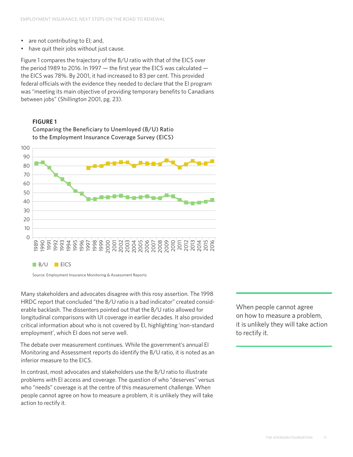- are not contributing to EI; and,
- have quit their jobs without just cause.

Figure 1 compares the trajectory of the B/U ratio with that of the EICS over the period 1989 to 2016. In 1997 — the first year the EICS was calculated the EICS was 78%. By 2001, it had increased to 83 per cent. This provided federal officials with the evidence they needed to declare that the EI program was "meeting its main objective of providing temporary benefits to Canadians between jobs" (Shillington 2001, pg. 23).

#### **FIGURE 1**

Comparing the Beneficiary to Unemloyed (B/U) Ratio to the Employment Insurance Coverage Survey (EICS)



Source: Employment Insurance Monitoring & Assessment Reports

Many stakeholders and advocates disagree with this rosy assertion. The 1998 HRDC report that concluded "the B/U ratio is a bad indicator" created considerable backlash. The dissenters pointed out that the B/U ratio allowed for longitudinal comparisons with UI coverage in earlier decades. It also provided critical information about who is not covered by EI, highlighting 'non-standard employment', which EI does not serve well.

The debate over measurement continues. While the government's annual EI Monitoring and Assessment reports do identify the B/U ratio, it is noted as an inferior measure to the EICS.

In contrast, most advocates and stakeholders use the B/U ratio to illustrate problems with EI access and coverage. The question of who "deserves" versus who "needs" coverage is at the centre of this measurement challenge. When people cannot agree on how to measure a problem, it is unlikely they will take action to rectify it.

When people cannot agree on how to measure a problem, it is unlikely they will take action to rectify it.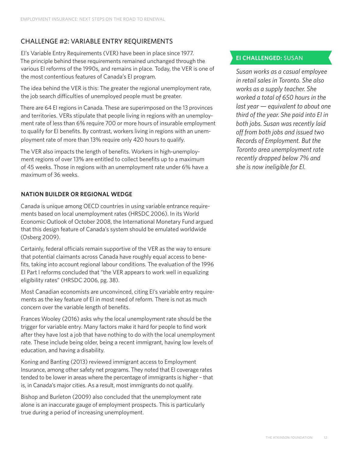## CHALLENGE #2: VARIABLE ENTRY REQUIREMENTS

EI's Variable Entry Requirements (VER) have been in place since 1977. The principle behind these requirements remained unchanged through the various EI reforms of the 1990s, and remains in place. Today, the VER is one of the most contentious features of Canada's EI program.

The idea behind the VER is this: The greater the regional unemployment rate, the job search difficulties of unemployed people must be greater.

There are 64 EI regions in Canada. These are superimposed on the 13 provinces and territories. VERs stipulate that people living in regions with an unemployment rate of less than 6% require 700 or more hours of insurable employment to qualify for EI benefits. By contrast, workers living in regions with an unemployment rate of more than 13% require only 420 hours to qualify.

The VER also impacts the length of benefits. Workers in high-unemployment regions of over 13% are entitled to collect benefits up to a maximum of 45 weeks. Those in regions with an unemployment rate under 6% have a maximum of 36 weeks.

#### **NATION BUILDER OR REGIONAL WEDGE**

Canada is unique among OECD countries in using variable entrance requirements based on local unemployment rates (HRSDC 2006). In its World Economic Outlook of October 2008, the International Monetary Fund argued that this design feature of Canada's system should be emulated worldwide (Osberg 2009).

Certainly, federal officials remain supportive of the VER as the way to ensure that potential claimants across Canada have roughly equal access to benefits, taking into account regional labour conditions. The evaluation of the 1996 EI Part I reforms concluded that "the VER appears to work well in equalizing eligibility rates" (HRSDC 2006, pg. 38).

Most Canadian economists are unconvinced, citing EI's variable entry requirements as the key feature of EI in most need of reform. There is not as much concern over the variable length of benefits.

Frances Wooley (2016) asks why the local unemployment rate should be the trigger for variable entry. Many factors make it hard for people to find work after they have lost a job that have nothing to do with the local unemployment rate. These include being older, being a recent immigrant, having low levels of education, and having a disability.

Koning and Banting (2013) reviewed immigrant access to Employment Insurance, among other safety net programs. They noted that EI coverage rates tended to be lower in areas where the percentage of immigrants is higher – that is, in Canada's major cities. As a result, most immigrants do not qualify.

Bishop and Burleton (2009) also concluded that the unemployment rate alone is an inaccurate gauge of employment prospects. This is particularly true during a period of increasing unemployment.

## **EI CHALLENGED:** SUSAN

*Susan works as a casual employee in retail sales in Toronto. She also works as a supply teacher. She worked a total of 650 hours in the last year — equivalent to about one third of the year. She paid into EI in both jobs. Susan was recently laid off from both jobs and issued two Records of Employment. But the Toronto area unemployment rate recently dropped below 7% and she is now ineligible for EI.*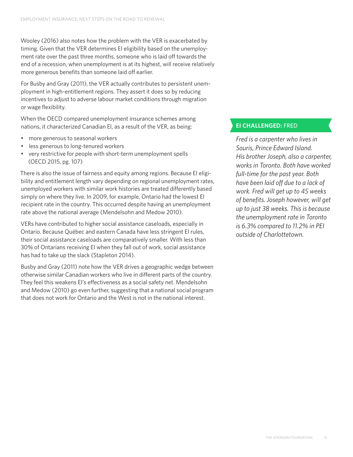Wooley (2016) also notes how the problem with the VER is exacerbated by timing. Given that the VER determines EI eligibility based on the unemployment rate over the past three months, someone who is laid off towards the end of a recession, when unemployment is at its highest, will receive relatively more generous benefits than someone laid off earlier.

For Busby and Gray (2011), the VER actually contributes to persistent unemployment in high-entitlement regions. They assert it does so by reducing incentives to adjust to adverse labour market conditions through migration or wage flexibility.

When the OECD compared unemployment insurance schemes among nations, it characterized Canadian EI, as a result of the VER, as being:

- more generous to seasonal workers
- less generous to long-tenured workers
- very restrictive for people with short-term unemployment spells (OECD 2015, pg. 107)

There is also the issue of fairness and equity among regions. Because EI eligibility and entitlement length vary depending on regional unemployment rates, unemployed workers with similar work histories are treated differently based simply on where they live. In 2009, for example, Ontario had the lowest EI recipient rate in the country. This occurred despite having an unemployment rate above the national average (Mendelsohn and Medow 2010).

VERs have contributed to higher social assistance caseloads, especially in Ontario. Because Québec and eastern Canada have less stringent EI rules, their social assistance caseloads are comparatively smaller. With less than 30% of Ontarians receiving EI when they fall out of work, social assistance has had to take up the slack (Stapleton 2014).

Busby and Gray (2011) note how the VER drives a geographic wedge between otherwise similar Canadian workers who live in different parts of the country. They feel this weakens EI's effectiveness as a social safety net. Mendelsohn and Medow (2010) go even further, suggesting that a national social program that does not work for Ontario and the West is not in the national interest.

## **EI CHALLENGED:** FRED

*Fred is a carpenter who lives in Souris, Prince Edward Island. His brother Joseph, also a carpenter, works in Toronto. Both have worked full-time for the past year. Both have been laid off due to a lack of work. Fred will get up to 45 weeks of benefits. Joseph however, will get up to just 38 weeks. This is because the unemployment rate in Toronto is 6.3% compared to 11.2% in PEI outside of Charlottetown.*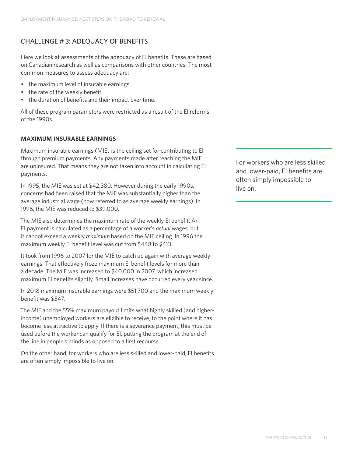## CHALLENGE # 3: ADEQUACY OF BENEFITS

Here we look at assessments of the adequacy of EI benefits. These are based on Canadian research as well as comparisons with other countries. The most common measures to assess adequacy are:

- the maximum level of insurable earnings
- the rate of the weekly benefit
- the duration of benefits and their impact over time.

All of these program parameters were restricted as a result of the EI reforms of the 1990s.

#### **MAXIMUM INSURABLE EARNINGS**

Maximum insurable earnings (MIE) is the ceiling set for contributing to EI through premium payments. Any payments made after reaching the MIE are uninsured. That means they are not taken into account in calculating EI payments.

In 1995, the MIE was set at \$42,380. However during the early 1990s, concerns had been raised that the MIE was substantially higher than the average industrial wage (now referred to as average weekly earnings). In 1996, the MIE was reduced to \$39,000.

The MIE also determines the maximum rate of the weekly EI benefit. An EI payment is calculated as a percentage of a worker's *actual* wages, but it cannot exceed a weekly *maximum* based on the MIE ceiling. In 1996 the maximum weekly EI benefit level was cut from \$448 to \$413.

It took from 1996 to 2007 for the MIE to catch up again with average weekly earnings. That effectively froze maximum EI benefit levels for more than a decade. The MIE was increased to \$40,000 in 2007, which increased maximum EI benefits slightly. Small increases have occurred every year since.

In 2018 maximum insurable earnings were \$51,700 and the maximum weekly benefit was \$547.

The MIE and the 55% maximum payout limits what highly skilled (and higherincome) unemployed workers are eligible to receive, to the point where it has become less attractive to apply. If there is a severance payment, this must be used before the worker can qualify for EI, putting the program at the end of the line in people's minds as opposed to a first recourse.

On the other hand, for workers who are less skilled and lower-paid, EI benefits are often simply impossible to live on.

For workers who are less skilled and lower-paid, EI benefits are often simply impossible to live on.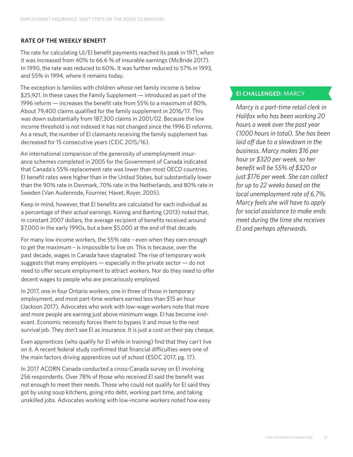#### **RATE OF THE WEEKLY BENEFIT**

The rate for calculating UI/EI benefit payments reached its peak in 1971, when it was increased from 40% to 66.6 % of insurable earnings (McBride 2017). In 1990, the rate was reduced to 60%. It was further reduced to 57% in 1993, and 55% in 1994, where it remains today.

The exception is families with children whose net family income is below \$25,921. In these cases the Family Supplement — introduced as part of the 1996 reform — increases the benefit rate from 55% to a maximum of 80%. About 79,400 claims qualified for the family supplement in 2016/17. This was down substantially from 187,300 claims in 2001/02. Because the low income threshold is not indexed it has not changed since the 1996 EI reforms. As a result, the number of EI claimants receiving the family supplement has decreased for 15 consecutive years (CEIC 2015/16).

An international comparison of the generosity of unemployment insurance schemes completed in 2005 for the Government of Canada indicated that Canada's 55% replacement rate was lower than most OECD countries. EI benefit rates were higher than in the United States, but substantially lower than the 90% rate in Denmark, 70% rate in the Netherlands, and 80% rate in Sweden (Van Audenrode, Fournier, Havet, Royer, 2005).

Keep in mind, however, that EI benefits are calculated for each individual as a percentage of their *actual* earnings. Koning and Banting (2013) noted that, in constant 2007 dollars, the average recipient of benefits received around \$7,000 in the early 1990s, but a bare \$5,000 at the end of that decade.

For many low income workers, the 55% rate – even when they earn enough to get the maximum – is impossible to live on. This is because, over the past decade, wages in Canada have stagnated. The rise of temporary work suggests that many employers — especially in the private sector — do not need to offer secure employment to attract workers. Nor do they need to offer decent wages to people who are precariously employed.

In 2017, one in four Ontario workers, one in three of those in temporary employment, and most part-time workers earned less than \$15 an hour (Jackson 2017). Advocates who work with low-wage workers note that more and more people are earning just above minimum wage. EI has become irrelevant. Economic necessity forces them to bypass it and move to the next survival job. They don't see EI as insurance. It is just a cost on their pay cheque.

Even apprentices (who qualify for EI while in training) find that they can't live on it. A recent federal study confirmed that financial difficulties were one of the main factors driving apprentices out of school (ESDC 2017, pg. 17).

In 2017 ACORN Canada conducted a cross-Canada survey on EI involving 256 respondents. Over 78% of those who received EI said the benefit was not enough to meet their needs. Those who could not qualify for EI said they got by using soup kitchens, going into debt, working part time, and taking unskilled jobs. Advocates working with low-income workers noted how easy

### **EI CHALLENGED:** MARCY

*Marcy is a part-time retail clerk in Halifax who has been working 20 hours a week over the past year (1000 hours in total). She has been laid off due to a slowdown in the business. Marcy makes \$16 per hour or \$320 per week, so her benefit will be 55% of \$320 or just \$176 per week. She can collect for up to 22 weeks based on the local unemployment rate of 6.7%. Marcy feels she will have to apply for social assistance to make ends meet during the time she receives EI and perhaps afterwards.*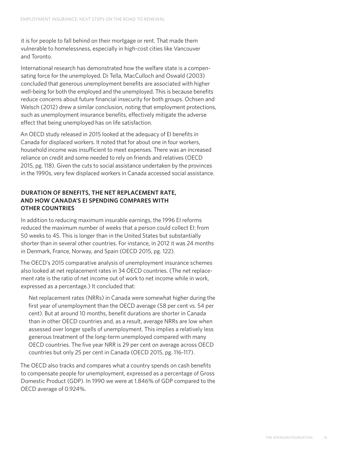it is for people to fall behind on their mortgage or rent. That made them vulnerable to homelessness, especially in high-cost cities like Vancouver and Toronto.

International research has demonstrated how the welfare state is a compensating force for the unemployed. Di Tella, MacCulloch and Oswald (2003) concluded that generous unemployment benefits are associated with higher well-being for both the employed and the unemployed. This is because benefits reduce concerns about future financial insecurity for both groups. Ochsen and Welsch (2012) drew a similar conclusion, noting that employment protections, such as unemployment insurance benefits, effectively mitigate the adverse effect that being unemployed has on life satisfaction.

An OECD study released in 2015 looked at the adequacy of EI benefits in Canada for displaced workers. It noted that for about one in four workers, household income was insufficient to meet expenses. There was an increased reliance on credit and some needed to rely on friends and relatives (OECD 2015, pg. 118). Given the cuts to social assistance undertaken by the provinces in the 1990s, very few displaced workers in Canada accessed social assistance.

## **DURATION OF BENEFITS, THE NET REPLACEMENT RATE, AND HOW CANADA'S EI SPENDING COMPARES WITH OTHER COUNTRIES**

In addition to reducing maximum insurable earnings, the 1996 EI reforms reduced the maximum number of weeks that a person could collect EI: from 50 weeks to 45. This is longer than in the United States but substantially shorter than in several other countries. For instance, in 2012 it was 24 months in Denmark, France, Norway, and Spain (OECD 2015, pg. 122).

The OECD's 2015 comparative analysis of unemployment insurance schemes also looked at net replacement rates in 34 OECD countries. (The net replacement rate is the ratio of net income out of work to net income while in work, expressed as a percentage.) It concluded that:

Net replacement rates (NRRs) in Canada were somewhat higher during the first year of unemployment than the OECD average (58 per cent vs. 54 per cent). But at around 10 months, benefit durations are shorter in Canada than in other OECD countries and, as a result, average NRRs are low when assessed over longer spells of unemployment. This implies a relatively less generous treatment of the long-term unemployed compared with many OECD countries. The five year NRR is 29 per cent on average across OECD countries but only 25 per cent in Canada (OECD 2015, pg. 116-117).

The OECD also tracks and compares what a country spends on cash benefits to compensate people for unemployment, expressed as a percentage of Gross Domestic Product (GDP). In 1990 we were at 1.846% of GDP compared to the OECD average of 0.924%.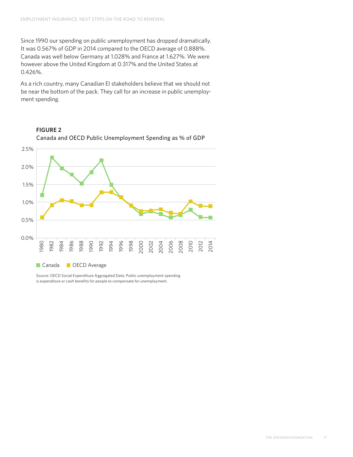Since 1990 our spending on public unemployment has dropped dramatically. It was 0.567% of GDP in 2014 compared to the OECD average of 0.888%. Canada was well below Germany at 1.028% and France at 1.627%. We were however above the United Kingdom at 0.317% and the United States at 0.426%.

As a rich country, many Canadian EI stakeholders believe that we should not be near the bottom of the pack. They call for an increase in public unemployment spending.



**FIGURE 2**  Canada and OECD Public Unemployment Spending as % of GDP

Source: OECD Social Expenditure Aggregated Data. Public unemployment spending is expenditure or cash benefits for people to compensate for unemployment.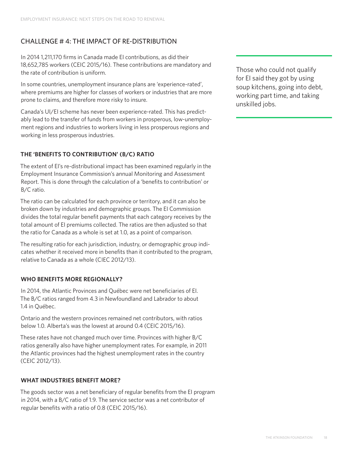## CHALLENGE # 4: THE IMPACT OF RE-DISTRIBUTION

In 2014 1,211,170 firms in Canada made EI contributions, as did their 18,652,785 workers (CEIC 2015/16). These contributions are mandatory and the rate of contribution is uniform.

In some countries, unemployment insurance plans are 'experience-rated', where premiums are higher for classes of workers or industries that are more prone to claims, and therefore more risky to insure.

Canada's UI/EI scheme has never been experience-rated. This has predictably lead to the transfer of funds from workers in prosperous, low-unemployment regions and industries to workers living in less prosperous regions and working in less prosperous industries.

### **THE 'BENEFITS TO CONTRIBUTION' (B/C) RATIO**

The extent of EI's re-distributional impact has been examined regularly in the Employment Insurance Commission's annual Monitoring and Assessment Report. This is done through the calculation of a 'benefits to contribution' or B/C ratio.

The ratio can be calculated for each province or territory, and it can also be broken down by industries and demographic groups. The EI Commission divides the total regular benefit payments that each category receives by the total amount of EI premiums collected. The ratios are then adjusted so that the ratio for Canada as a whole is set at 1.0, as a point of comparison.

The resulting ratio for each jurisdiction, industry, or demographic group indicates whether it received more in benefits than it contributed to the program, relative to Canada as a whole (CIEC 2012/13).

#### **WHO BENEFITS MORE REGIONALLY?**

In 2014, the Atlantic Provinces and Québec were net beneficiaries of EI. The B/C ratios ranged from 4.3 in Newfoundland and Labrador to about 1.4 in Québec.

Ontario and the western provinces remained net contributors, with ratios below 1.0. Alberta's was the lowest at around 0.4 (CEIC 2015/16).

These rates have not changed much over time. Provinces with higher B/C ratios generally also have higher unemployment rates. For example, in 2011 the Atlantic provinces had the highest unemployment rates in the country (CEIC 2012/13).

#### **WHAT INDUSTRIES BENEFIT MORE?**

The goods sector was a net beneficiary of regular benefits from the EI program in 2014, with a B/C ratio of 1.9. The service sector was a net contributor of regular benefits with a ratio of 0.8 (CEIC 2015/16).

Those who could not qualify for EI said they got by using soup kitchens, going into debt, working part time, and taking unskilled jobs.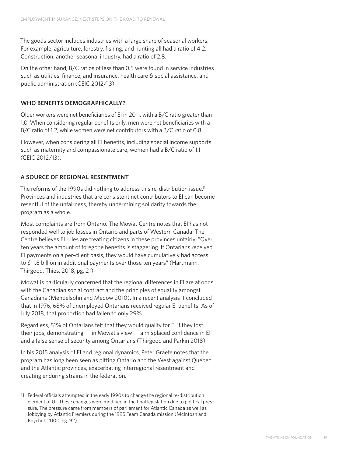The goods sector includes industries with a large share of seasonal workers. For example, agriculture, forestry, fishing, and hunting all had a ratio of 4.2. Construction, another seasonal industry, had a ratio of 2.8.

On the other hand, B/C ratios of less than 0.5 were found in service industries such as utilities, finance, and insurance, health care & social assistance, and public administration (CEIC 2012/13).

#### **WHO BENEFITS DEMOGRAPHICALLY?**

Older workers were net beneficiaries of EI in 2011, with a B/C ratio greater than 1.0. When considering regular benefits only, men were net beneficiaries with a B/C ratio of 1.2, while women were net contributors with a B/C ratio of 0.8.

However, when considering all EI benefits, including special income supports such as maternity and compassionate care, women had a B/C ratio of 1.1 (CEIC 2012/13).

#### **A SOURCE OF REGIONAL RESENTMENT**

The reforms of the 1990s did nothing to address this re-distribution issue.<sup>11</sup> Provinces and industries that are consistent net contributors to EI can become resentful of the unfairness, thereby undermining solidarity towards the program as a whole.

Most complaints are from Ontario. The Mowat Centre notes that EI has not responded well to job losses in Ontario and parts of Western Canada. The Centre believes EI rules are treating citizens in these provinces unfairly. "Over ten years the amount of foregone benefits is staggering. If Ontarians received EI payments on a per-client basis, they would have cumulatively had access to \$11.8 billion in additional payments over those ten years" (Hartmann, Thirgood, Thies, 2018, pg. 21).

Mowat is particularly concerned that the regional differences in EI are at odds with the Canadian social contract and the principles of equality amongst Canadians (Mendelsohn and Medow 2010). In a recent analysis it concluded that in 1976, 68% of unemployed Ontarians received regular EI benefits. As of July 2018, that proportion had fallen to only 29%.

Regardless, 51% of Ontarians felt that they would qualify for EI if they lost their jobs, demonstrating — in Mowat's view — a misplaced confidence in EI and a false sense of security among Ontarians (Thirgood and Parkin 2018).

In his 2015 analysis of EI and regional dynamics, Peter Graefe notes that the program has long been seen as pitting Ontario and the West against Québec and the Atlantic provinces, exacerbating interregional resentment and creating enduring strains in the federation.

11 Federal officials attempted in the early 1990s to change the regional re-distribution element of UI. These changes were modified in the final legislation due to political pressure. The pressure came from members of parliament for Atlantic Canada as well as lobbying by Atlantic Premiers during the 1995 Team Canada mission (McIntosh and Boychuk 2000, pg. 92).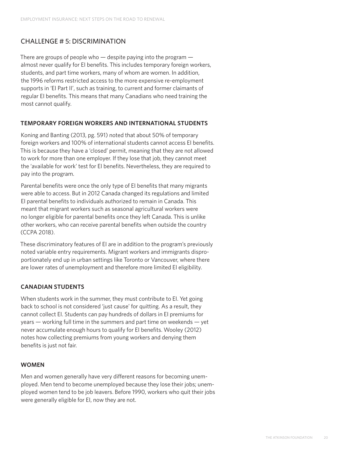## CHALLENGE # 5: DISCRIMINATION

There are groups of people who — despite paying into the program almost never qualify for EI benefits. This includes temporary foreign workers, students, and part time workers, many of whom are women. In addition, the 1996 reforms restricted access to the more expensive re-employment supports in 'EI Part II', such as training, to current and former claimants of regular EI benefits. This means that many Canadians who need training the most cannot qualify.

#### **TEMPORARY FOREIGN WORKERS AND INTERNATIONAL STUDENTS**

Koning and Banting (2013, pg. 591) noted that about 50% of temporary foreign workers and 100% of international students cannot access EI benefits. This is because they have a 'closed' permit, meaning that they are not allowed to work for more than one employer. If they lose that job, they cannot meet the 'available for work' test for EI benefits. Nevertheless, they are required to pay into the program.

Parental benefits were once the only type of EI benefits that many migrants were able to access. But in 2012 Canada changed its regulations and limited EI parental benefits to individuals authorized to remain in Canada. This meant that migrant workers such as seasonal agricultural workers were no longer eligible for parental benefits once they left Canada. This is unlike other workers, who can receive parental benefits when outside the country (CCPA 2018).

These discriminatory features of EI are in addition to the program's previously noted variable entry requirements. Migrant workers and immigrants disproportionately end up in urban settings like Toronto or Vancouver, where there are lower rates of unemployment and therefore more limited EI eligibility.

## **CANADIAN STUDENTS**

When students work in the summer, they must contribute to EI. Yet going back to school is not considered 'just cause' for quitting. As a result, they cannot collect EI. Students can pay hundreds of dollars in EI premiums for years — working full time in the summers and part time on weekends — yet never accumulate enough hours to qualify for EI benefits. Wooley (2012) notes how collecting premiums from young workers and denying them benefits is just not fair.

#### **WOMEN**

Men and women generally have very different reasons for becoming unemployed. Men tend to become unemployed because they lose their jobs; unemployed women tend to be job leavers. Before 1990, workers who quit their jobs were generally eligible for EI, now they are not.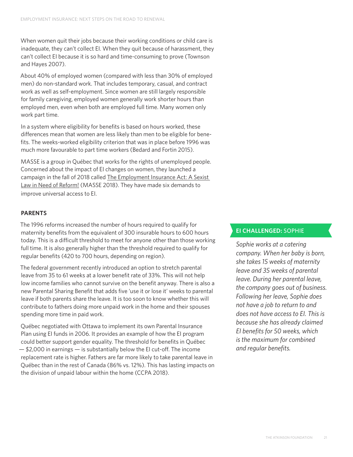When women quit their jobs because their working conditions or child care is inadequate, they can't collect EI. When they quit because of harassment, they can't collect EI because it is so hard and time-consuming to prove (Townson and Hayes 2007).

About 40% of employed women (compared with less than 30% of employed men) do non-standard work. That includes temporary, casual, and contract work as well as self-employment. Since women are still largely responsible for family caregiving, employed women generally work shorter hours than employed men, even when both are employed full time. Many women only work part time.

In a system where eligibility for benefits is based on hours worked, these differences mean that women are less likely than men to be eligible for benefits. The weeks-worked eligibility criterion that was in place before 1996 was much more favourable to part time workers (Bedard and Fortin 2015).

MASSE is a group in Québec that works for the rights of unemployed people. Concerned about the impact of EI changes on women, they launched a campaign in the fall of 2018 called [The Employment Insurance Act: A Sexist](https://www.lemasse.org/wp-content/uploads/2018/10/Feuillet_anglais_F_web.pdf)  [Law in Need of Reform!](https://www.lemasse.org/wp-content/uploads/2018/10/Feuillet_anglais_F_web.pdf) (MASSE 2018). They have made six demands to improve universal access to EI.

#### **PARENTS**

The 1996 reforms increased the number of hours required to qualify for maternity benefits from the equivalent of 300 insurable hours to 600 hours today. This is a difficult threshold to meet for anyone other than those working full time. It is also generally higher than the threshold required to qualify for regular benefits (420 to 700 hours, depending on region).

The federal government recently introduced an option to stretch parental leave from 35 to 61 weeks at a lower benefit rate of 33%. This will not help low income families who cannot survive on the benefit anyway. There is also a new Parental Sharing Benefit that adds five 'use it or lose it' weeks to parental leave if both parents share the leave. It is too soon to know whether this will contribute to fathers doing more unpaid work in the home and their spouses spending more time in paid work.

Québec negotiated with Ottawa to implement its own Parental Insurance Plan using EI funds in 2006. It provides an example of how the EI program could better support gender equality. The threshold for benefits in Québec — \$2,000 in earnings — is substantially below the EI cut-off. The income replacement rate is higher. Fathers are far more likely to take parental leave in Québec than in the rest of Canada (86% vs. 12%). This has lasting impacts on the division of unpaid labour within the home (CCPA 2018).

## **EI CHALLENGED:** SOPHIE

*Sophie works at a catering company. When her baby is born, she takes 15 weeks of maternity leave and 35 weeks of parental leave. During her parental leave, the company goes out of business. Following her leave, Sophie does not have a job to return to and does not have access to EI. This is because she has already claimed EI benefits for 50 weeks, which is the maximum for combined and regular benefits.*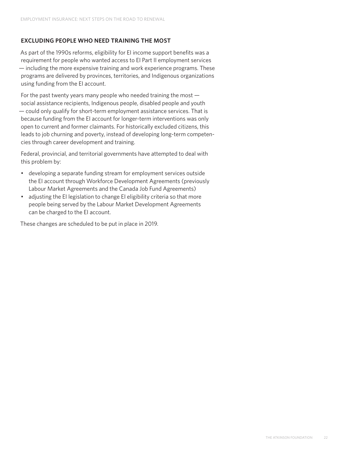#### **EXCLUDING PEOPLE WHO NEED TRAINING THE MOST**

As part of the 1990s reforms, eligibility for EI income support benefits was a requirement for people who wanted access to EI Part II employment services — including the more expensive training and work experience programs. These programs are delivered by provinces, territories, and Indigenous organizations using funding from the EI account.

For the past twenty years many people who needed training the most social assistance recipients, Indigenous people, disabled people and youth — could only qualify for short-term employment assistance services. That is because funding from the EI account for longer-term interventions was only open to current and former claimants. For historically excluded citizens, this leads to job churning and poverty, instead of developing long-term competencies through career development and training.

Federal, provincial, and territorial governments have attempted to deal with this problem by:

- developing a separate funding stream for employment services outside the EI account through Workforce Development Agreements (previously Labour Market Agreements and the Canada Job Fund Agreements)
- adjusting the EI legislation to change EI eligibility criteria so that more people being served by the Labour Market Development Agreements can be charged to the EI account.

These changes are scheduled to be put in place in 2019.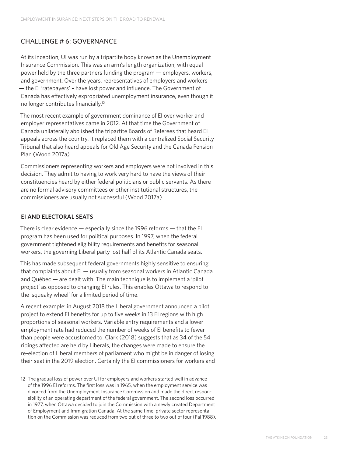## CHALLENGE # 6: GOVERNANCE

At its inception, UI was run by a tripartite body known as the Unemployment Insurance Commission. This was an arm's length organization, with equal power held by the three partners funding the program — employers, workers, and government. Over the years, representatives of employers and workers — the EI 'ratepayers' – have lost power and influence. The Government of Canada has effectively expropriated unemployment insurance, even though it no longer contributes financially.12

The most recent example of government dominance of EI over worker and employer representatives came in 2012. At that time the Government of Canada unilaterally abolished the tripartite Boards of Referees that heard EI appeals across the country. It replaced them with a centralized Social Security Tribunal that also heard appeals for Old Age Security and the Canada Pension Plan (Wood 2017a).

Commissioners representing workers and employers were not involved in this decision. They admit to having to work very hard to have the views of their constituencies heard by either federal politicians or public servants. As there are no formal advisory committees or other institutional structures, the commissioners are usually not successful (Wood 2017a).

### **EI AND ELECTORAL SEATS**

There is clear evidence — especially since the 1996 reforms — that the EI program has been used for political purposes. In 1997, when the federal government tightened eligibility requirements and benefits for seasonal workers, the governing Liberal party lost half of its Atlantic Canada seats.

This has made subsequent federal governments highly sensitive to ensuring that complaints about EI — usually from seasonal workers in Atlantic Canada and Québec — are dealt with. The main technique is to implement a 'pilot project' as opposed to changing EI rules. This enables Ottawa to respond to the 'squeaky wheel' for a limited period of time.

A recent example: in August 2018 the Liberal government announced a pilot project to extend EI benefits for up to five weeks in 13 EI regions with high proportions of seasonal workers. Variable entry requirements and a lower employment rate had reduced the number of weeks of EI benefits to fewer than people were accustomed to. Clark (2018) suggests that as 34 of the 54 ridings affected are held by Liberals, the changes were made to ensure the re-election of Liberal members of parliament who might be in danger of losing their seat in the 2019 election. Certainly the EI commissioners for workers and

12 The gradual loss of power over UI for employers and workers started well in advance of the 1996 EI reforms. The first loss was in 1965, when the employment service was divorced from the Unemployment Insurance Commission and made the direct responsibility of an operating department of the federal government. The second loss occurred in 1977, when Ottawa decided to join the Commission with a newly created Department of Employment and Immigration Canada. At the same time, private sector representation on the Commission was reduced from two out of three to two out of four (Pal 1988).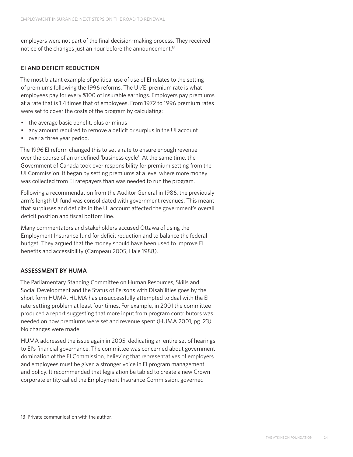employers were not part of the final decision-making process. They received notice of the changes just an hour before the announcement.<sup>13</sup>

## **EI AND DEFICIT REDUCTION**

The most blatant example of political use of use of EI relates to the setting of premiums following the 1996 reforms. The UI/EI premium rate is what employees pay for every \$100 of insurable earnings. Employers pay premiums at a rate that is 1.4 times that of employees. From 1972 to 1996 premium rates were set to cover the costs of the program by calculating:

- the average basic benefit, plus or minus
- any amount required to remove a deficit or surplus in the UI account
- over a three year period.

The 1996 EI reform changed this to set a rate to ensure enough revenue over the course of an undefined 'business cycle'. At the same time, the Government of Canada took over responsibility for premium setting from the UI Commission. It began by setting premiums at a level where more money was collected from EI ratepayers than was needed to run the program.

Following a recommendation from the Auditor General in 1986, the previously arm's length UI fund was consolidated with government revenues. This meant that surpluses and deficits in the UI account affected the government's overall deficit position and fiscal bottom line.

Many commentators and stakeholders accused Ottawa of using the Employment Insurance fund for deficit reduction and to balance the federal budget. They argued that the money should have been used to improve EI benefits and accessibility (Campeau 2005, Hale 1988).

## **ASSESSMENT BY HUMA**

The Parliamentary Standing Committee on Human Resources, Skills and Social Development and the Status of Persons with Disabilities goes by the short form HUMA. HUMA has unsuccessfully attempted to deal with the EI rate-setting problem at least four times. For example, in 2001 the committee produced a report suggesting that more input from program contributors was needed on how premiums were set and revenue spent (HUMA 2001, pg. 23). No changes were made.

HUMA addressed the issue again in 2005, dedicating an entire set of hearings to EI's financial governance. The committee was concerned about government domination of the EI Commission, believing that representatives of employers and employees must be given a stronger voice in EI program management and policy. It recommended that legislation be tabled to create a new Crown corporate entity called the Employment Insurance Commission, governed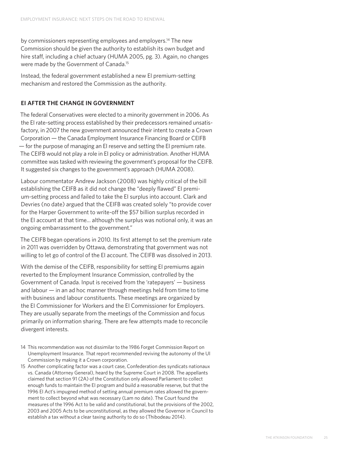by commissioners representing employees and employers.<sup>14</sup> The new Commission should be given the authority to establish its own budget and hire staff, including a chief actuary (HUMA 2005, pg. 3). Again, no changes were made by the Government of Canada.15

Instead, the federal government established a new EI premium-setting mechanism and restored the Commission as the authority.

#### **EI AFTER THE CHANGE IN GOVERNMENT**

The federal Conservatives were elected to a minority government in 2006. As the EI rate-setting process established by their predecessors remained unsatisfactory, in 2007 the new government announced their intent to create a Crown Corporation — the Canada Employment Insurance Financing Board or CEIFB — for the purpose of managing an EI reserve and setting the EI premium rate. The CEIFB would not play a role in EI policy or administration. Another HUMA committee was tasked with reviewing the government's proposal for the CEIFB. It suggested six changes to the government's approach (HUMA 2008).

Labour commentator Andrew Jackson (2008) was highly critical of the bill establishing the CEIFB as it did not change the "deeply flawed" EI premium-setting process and failed to take the EI surplus into account. Clark and Devries (no date) argued that the CEIFB was created solely "to provide cover for the Harper Government to write-off the \$57 billion surplus recorded in the EI account at that time... although the surplus was notional only, it was an ongoing embarrassment to the government."

The CEIFB began operations in 2010. Its first attempt to set the premium rate in 2011 was overridden by Ottawa, demonstrating that government was not willing to let go of control of the EI account. The CEIFB was dissolved in 2013.

With the demise of the CEIFB, responsibility for setting EI premiums again reverted to the Employment Insurance Commission, controlled by the Government of Canada. Input is received from the 'ratepayers' — business and labour — in an ad hoc manner through meetings held from time to time with business and labour constituents. These meetings are organized by the EI Commissioner for Workers and the EI Commissioner for Employers. They are usually separate from the meetings of the Commission and focus primarily on information sharing. There are few attempts made to reconcile divergent interests.

- 14 This recommendation was not dissimilar to the 1986 Forget Commission Report on Unemployment Insurance. That report recommended reviving the autonomy of the UI Commission by making it a Crown corporation.
- 15 Another complicating factor was a court case, Confederation des syndicats nationaux vs. Canada (Attorney General), heard by the Supreme Court in 2008. The appellants claimed that section 91 (2A) of the Constitution only allowed Parliament to collect enough funds to maintain the EI program and build a reasonable reserve, but that the 1996 EI Act's impugned method of setting annual premium rates allowed the government to collect beyond what was necessary (Lam no date). The Court found the measures of the 1996 Act to be valid and constitutional, but the provisions of the 2002, 2003 and 2005 Acts to be unconstitutional, as they allowed the Governor in Council to establish a tax without a clear taxing authority to do so (Thibodeau 2014).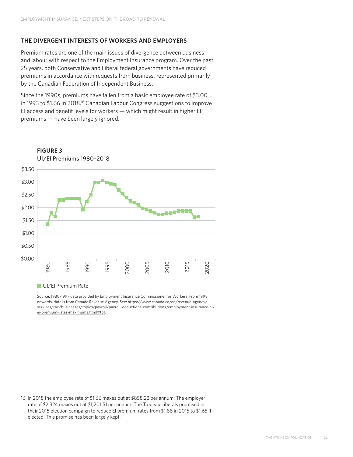#### **THE DIVERGENT INTERESTS OF WORKERS AND EMPLOYERS**

Premium rates are one of the main issues of divergence between business and labour with respect to the Employment Insurance program. Over the past 25 years, both Conservative and Liberal federal governments have reduced premiums in accordance with requests from business, represented primarily by the Canadian Federation of Independent Business.

Since the 1990s, premiums have fallen from a basic employee rate of \$3.00 in 1993 to \$1.66 in 2018.<sup>16</sup> Canadian Labour Congress suggestions to improve EI access and benefit levels for workers — which might result in higher EI premiums — have been largely ignored.



UI/EI Premium Rate

Source: 1980-1997 data provided by Employment Insurance Commissioner for Workers. From 1998 onwards, data is from Canada Revenue Agency. See: [https://www.canada.ca/en/revenue-agency/](https://www.canada.ca/en/revenue-agency/services/tax/businesses/topics/payroll/payroll-deductions-contributions/employment-insurance-ei/ei-premium-rates-maximums.html#tb1) [services/tax/businesses/topics/payroll/payroll-deductions-contributions/employment-insurance-ei/](https://www.canada.ca/en/revenue-agency/services/tax/businesses/topics/payroll/payroll-deductions-contributions/employment-insurance-ei/ei-premium-rates-maximums.html#tb1) [ei-premium-rates-maximums.html#tb1](https://www.canada.ca/en/revenue-agency/services/tax/businesses/topics/payroll/payroll-deductions-contributions/employment-insurance-ei/ei-premium-rates-maximums.html#tb1).

16 In 2018 the employee rate of \$1.66 maxes out at \$858.22 per annum. The employer rate of \$2.324 maxes out at \$1,201.51 per annum. The Trudeau Liberals promised in their 2015 election campaign to reduce EI premium rates from \$1.88 in 2015 to \$1.65 if elected. This promise has been largely kept.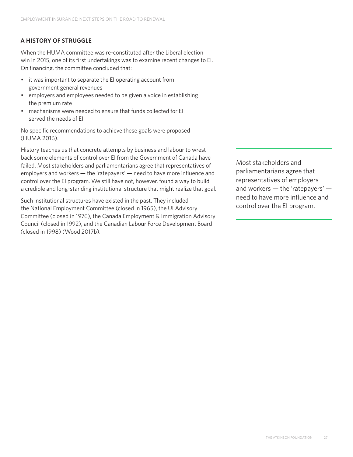## **A HISTORY OF STRUGGLE**

When the HUMA committee was re-constituted after the Liberal election win in 2015, one of its first undertakings was to examine recent changes to EI. On financing, the committee concluded that:

- it was important to separate the EI operating account from government general revenues
- employers and employees needed to be given a voice in establishing the premium rate
- mechanisms were needed to ensure that funds collected for EI served the needs of EI.

No specific recommendations to achieve these goals were proposed (HUMA 2016).

History teaches us that concrete attempts by business and labour to wrest back some elements of control over EI from the Government of Canada have failed. Most stakeholders and parliamentarians agree that representatives of employers and workers — the 'ratepayers' — need to have more influence and control over the EI program. We still have not, however, found a way to build a credible and long-standing institutional structure that might realize that goal.

Such institutional structures have existed in the past. They included the National Employment Committee (closed in 1965), the UI Advisory Committee (closed in 1976), the Canada Employment & Immigration Advisory Council (closed in 1992), and the Canadian Labour Force Development Board (closed in 1998) (Wood 2017b).

Most stakeholders and parliamentarians agree that representatives of employers and workers — the 'ratepayers' need to have more influence and control over the EI program.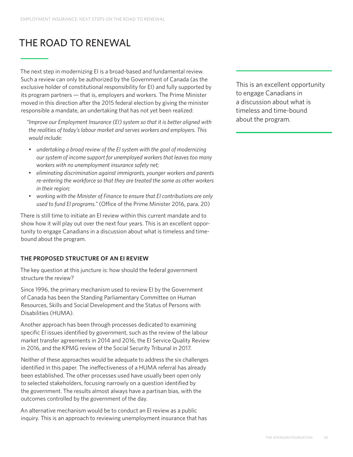## THE ROAD TO RENEWAL

The next step in modernizing EI is a broad-based and fundamental review. Such a review can only be authorized by the Government of Canada (as the exclusive holder of constitutional responsibility for EI) and fully supported by its program partners — that is, employers and workers. The Prime Minister moved in this direction after the 2015 federal election by giving the minister responsible a mandate, an undertaking that has not yet been realized:

*"Improve our Employment Insurance (EI) system so that it is better aligned with the realities of today's labour market and serves workers and employers. This would include:*

- *• undertaking a broad review of the EI system with the goal of modernizing our system of income support for unemployed workers that leaves too many workers with no unemployment insurance safety net;*
- *• eliminating discrimination against immigrants, younger workers and parents re-entering the workforce so that they are treated the same as other workers in their region;*
- *• working with the Minister of Finance to ensure that EI contributions are only used to fund EI programs."* (Office of the Prime Minister 2016, para. 20)

There is still time to initiate an EI review within this current mandate and to show how it will play out over the next four years. This is an excellent opportunity to engage Canadians in a discussion about what is timeless and timebound about the program.

## **THE PROPOSED STRUCTURE OF AN EI REVIEW**

The key question at this juncture is: how should the federal government structure the review?

Since 1996, the primary mechanism used to review EI by the Government of Canada has been the Standing Parliamentary Committee on Human Resources, Skills and Social Development and the Status of Persons with Disabilities (HUMA).

Another approach has been through processes dedicated to examining specific EI issues identified by government, such as the review of the labour market transfer agreements in 2014 and 2016, the EI Service Quality Review in 2016, and the KPMG review of the Social Security Tribunal in 2017.

Neither of these approaches would be adequate to address the six challenges identified in this paper. The ineffectiveness of a HUMA referral has already been established. The other processes used have usually been open only to selected stakeholders, focusing narrowly on a question identified by the government. The results almost always have a partisan bias, with the outcomes controlled by the government of the day.

An alternative mechanism would be to conduct an EI review as a public inquiry. This is an approach to reviewing unemployment insurance that has

This is an excellent opportunity to engage Canadians in a discussion about what is timeless and time-bound about the program.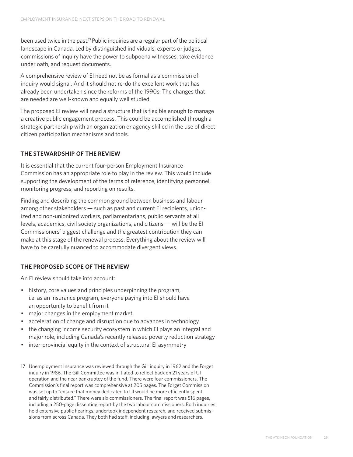been used twice in the past.17 Public inquiries are a regular part of the political landscape in Canada. Led by distinguished individuals, experts or judges, commissions of inquiry have the power to subpoena witnesses, take evidence under oath, and request documents.

A comprehensive review of EI need not be as formal as a commission of inquiry would signal. And it should not re-do the excellent work that has already been undertaken since the reforms of the 1990s. The changes that are needed are well-known and equally well studied.

The proposed EI review will need a structure that is flexible enough to manage a creative public engagement process. This could be accomplished through a strategic partnership with an organization or agency skilled in the use of direct citizen participation mechanisms and tools.

#### **THE STEWARDSHIP OF THE REVIEW**

It is essential that the current four-person Employment Insurance Commission has an appropriate role to play in the review. This would include supporting the development of the terms of reference, identifying personnel, monitoring progress, and reporting on results.

Finding and describing the common ground between business and labour among other stakeholders — such as past and current EI recipients, unionized and non-unionized workers, parliamentarians, public servants at all levels, academics, civil society organizations, and citizens — will be the EI Commissioners' biggest challenge and the greatest contribution they can make at this stage of the renewal process. Everything about the review will have to be carefully nuanced to accommodate divergent views.

#### **THE PROPOSED SCOPE OF THE REVIEW**

An EI review should take into account:

- history, core values and principles underpinning the program, i.e. as an insurance program, everyone paying into EI should have an opportunity to benefit from it
- major changes in the employment market
- acceleration of change and disruption due to advances in technology
- the changing income security ecosystem in which EI plays an integral and major role, including Canada's recently released poverty reduction strategy
- inter-provincial equity in the context of structural EI asymmetry
- 17 Unemployment Insurance was reviewed through the Gill inquiry in 1962 and the Forget inquiry in 1986. The Gill Committee was initiated to reflect back on 21 years of UI operation and the near bankruptcy of the fund. There were four commissioners. The Commission's final report was comprehensive at 205 pages. The Forget Commission was set up to "ensure that money dedicated to UI would be more efficiently spent and fairly distributed." There were six commissioners. The final report was 516 pages, including a 250-page dissenting report by the two labour commissioners. Both inquiries held extensive public hearings, undertook independent research, and received submissions from across Canada. They both had staff, including lawyers and researchers.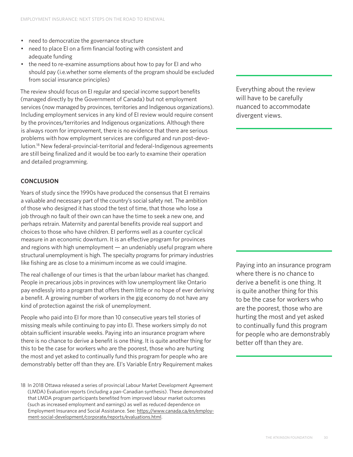- need to democratize the governance structure
- need to place EI on a firm financial footing with consistent and adequate funding
- the need to re-examine assumptions about how to pay for EI and who should pay (i.e.whether some elements of the program should be excluded from social insurance principles)

The review should focus on EI regular and special income support benefits (managed directly by the Government of Canada) but not employment services (now managed by provinces, territories and Indigenous organizations). Including employment services in any kind of EI review would require consent by the provinces/territories and Indigenous organizations. Although there is always room for improvement, there is no evidence that there are serious problems with how employment services are configured and run post-devolution.18 New federal-provincial-territorial and federal-Indigenous agreements are still being finalized and it would be too early to examine their operation and detailed programming.

### **CONCLUSION**

Years of study since the 1990s have produced the consensus that EI remains a valuable and necessary part of the country's social safety net. The ambition of those who designed it has stood the test of time, that those who lose a job through no fault of their own can have the time to seek a new one, and perhaps retrain. Maternity and parental benefits provide real support and choices to those who have children. EI performs well as a counter cyclical measure in an economic downturn. It is an effective program for provinces and regions with high unemployment — an undeniably useful program where structural unemployment is high. The specialty programs for primary industries like fishing are as close to a minimum income as we could imagine.

The real challenge of our times is that the urban labour market has changed. People in precarious jobs in provinces with low unemployment like Ontario pay endlessly into a program that offers them little or no hope of ever deriving a benefit. A growing number of workers in the gig economy do not have any kind of protection against the risk of unemployment.

People who paid into EI for more than 10 consecutive years tell stories of missing meals while continuing to pay into EI. These workers simply do not obtain sufficient insurable weeks. Paying into an insurance program where there is no chance to derive a benefit is one thing. It is quite another thing for this to be the case for workers who are the poorest, those who are hurting the most and yet asked to continually fund this program for people who are demonstrably better off than they are. EI's Variable Entry Requirement makes Everything about the review will have to be carefully nuanced to accommodate divergent views.

Paying into an insurance program where there is no chance to derive a benefit is one thing. It is quite another thing for this to be the case for workers who are the poorest, those who are hurting the most and yet asked to continually fund this program for people who are demonstrably better off than they are.

<sup>18</sup> In 2018 Ottawa released a series of provincial Labour Market Development Agreement (LMDA) Evaluation reports (including a pan-Canadian synthesis). These demonstrated that LMDA program participants benefited from improved labour market outcomes (such as increased employment and earnings) as well as reduced dependence on Employment Insurance and Social Assistance. See: [https://www.canada.ca/en/employ](https://www.canada.ca/en/employment-social-development/corporate/reports/evaluations.html)[ment-social-development/corporate/reports/evaluations.html.](https://www.canada.ca/en/employment-social-development/corporate/reports/evaluations.html)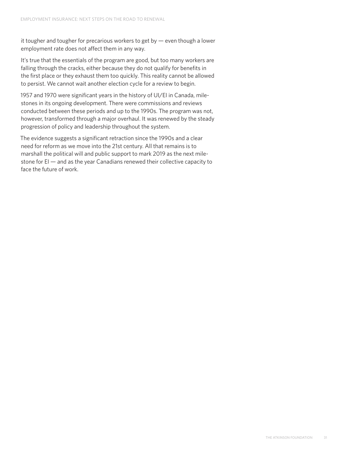it tougher and tougher for precarious workers to get by — even though a lower employment rate does not affect them in any way.

It's true that the essentials of the program are good, but too many workers are falling through the cracks, either because they do not qualify for benefits in the first place or they exhaust them too quickly. This reality cannot be allowed to persist. We cannot wait another election cycle for a review to begin.

1957 and 1970 were significant years in the history of UI/EI in Canada, milestones in its ongoing development. There were commissions and reviews conducted between these periods and up to the 1990s. The program was not, however, transformed through a major overhaul. It was renewed by the steady progression of policy and leadership throughout the system.

The evidence suggests a significant retraction since the 1990s and a clear need for reform as we move into the 21st century. All that remains is to marshall the political will and public support to mark 2019 as the next milestone for EI — and as the year Canadians renewed their collective capacity to face the future of work.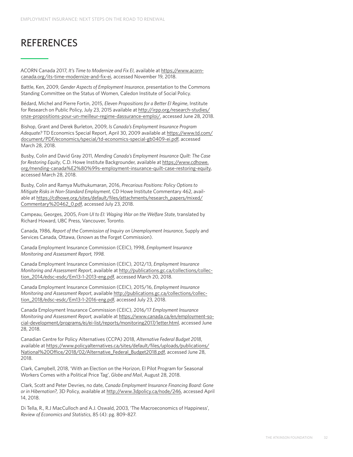## REFERENCES

ACORN Canada 2017, *It's Time to Modernize and Fix EI*, available at [https://www.acorn](https://www.acorncanada.org/its-time-modernize-and-fix-ei)[canada.org/its-time-modernize-and-fix-ei,](https://www.acorncanada.org/its-time-modernize-and-fix-ei) accessed November 19, 2018.

Battle, Ken, 2009, *Gender Aspects of Employment Insurance*, presentation to the Commons Standing Committee on the Status of Women, Caledon Institute of Social Policy.

Bédard, Michel and Pierre Fortin, 2015, *Eleven Propositions for a Better EI Regime*, Institute for Research on Public Policy, July 23, 2015 available at [http://irpp.org/research-studies/](http://irpp.org/research-studies/onze-propositions-pour-un-meilleur-regime-dassurance-emploi/) [onze-propositions-pour-un-meilleur-regime-dassurance-emploi/](http://irpp.org/research-studies/onze-propositions-pour-un-meilleur-regime-dassurance-emploi/), accessed June 28, 2018.

Bishop, Grant and Derek Burleton, 2009, *Is Canada's Employment Insurance Program Adequate?* TD Economics Special Report, April 30, 2009 available at [https://www.td.com/](https://www.td.com/document/PDF/economics/special/td-economics-special-gb0409-ei.pdf) [document/PDF/economics/special/td-economics-special-gb0409-ei.pdf,](https://www.td.com/document/PDF/economics/special/td-economics-special-gb0409-ei.pdf) accessed March 28, 2018.

Busby, Colin and David Gray 2011, *Mending Canada's Employment Insurance Quilt: The Case for Restoring Equity*, C.D. Howe Institute Backgrounder, available at [https://www.cdhowe.](https://www.cdhowe.org/mending-canada%E2%80%99s-employment-insurance-quilt-case-restoring-equity) [org/mending-canada%E2%80%99s-employment-insurance-quilt-case-restoring-equity,](https://www.cdhowe.org/mending-canada%E2%80%99s-employment-insurance-quilt-case-restoring-equity) accessed March 28, 2018.

Busby, Colin and Ramya Muthukumaran, 2016, *Precarious Positions: Policy Options to Mitigate Risks in Non-Standard Employment*, CD Howe Institute Commentary 462, available at [https://cdhowe.org/sites/default/files/attachments/research\\_papers/mixed/](https://cdhowe.org/sites/default/files/attachments/research_papers/mixed/Commentary%20462_0.pdf) [Commentary%20462\\_0.pdf](https://cdhowe.org/sites/default/files/attachments/research_papers/mixed/Commentary%20462_0.pdf), accessed July 23, 2018.

Campeau, Georges, 2005, *From UI to EI: Waging War on the Welfare State*, translated by Richard Howard, UBC Press, Vancouver, Toronto.

Canada, 1986, *Report of the Commission of Inquiry on Unemployment Insurance*, Supply and Services Canada, Ottawa, (known as the Forget Commission).

Canada Employment Insurance Commission (CEIC), 1998, *Employment Insurance Monitoring and Assessment Report, 1998.*

Canada Employment Insurance Commission (CEIC), 2012/13, *Employment Insurance Monitoring and Assessment Report*, available at [http://publications.gc.ca/collections/collec](http://publications.gc.ca/collections/collection_2014/edsc-esdc/Em13-1-2013-eng.pdf)[tion\\_2014/edsc-esdc/Em13-1-2013-eng.pdf](http://publications.gc.ca/collections/collection_2014/edsc-esdc/Em13-1-2013-eng.pdf), accessed March 20, 2018.

Canada Employment Insurance Commission (CEIC), 2015/16, *Employment Insurance Monitoring and Assessment Report*, available [http://publications.gc.ca/collections/collec](http://publications.gc.ca/collections/collection_2018/edsc-esdc/Em13-1-2016-eng.pdf)[tion\\_2018/edsc-esdc/Em13-1-2016-eng.pdf](http://publications.gc.ca/collections/collection_2018/edsc-esdc/Em13-1-2016-eng.pdf), accessed July 23, 2018.

Canada Employment Insurance Commission (CEIC), 2016/17 *Employment Insurance Monitoring and Assessment Report,* available at [https://www.canada.ca/en/employment-so](https://www.canada.ca/en/employment-social-development/programs/ei/ei-list/reports/monitoring2017/letter.html)[cial-development/programs/ei/ei-list/reports/monitoring2017/letter.html,](https://www.canada.ca/en/employment-social-development/programs/ei/ei-list/reports/monitoring2017/letter.html) accessed June 28, 2018.

Canadian Centre for Policy Alternatives (CCPA) 2018, *Alternative Federal Budget 2018*, available at [https://www.policyalternatives.ca/sites/default/files/uploads/publications/](https://www.policyalternatives.ca/sites/default/files/uploads/publications/National%20Office/2018/02/Alternative_Federal_Budget2018.pdf) [National%20Office/2018/02/Alternative\\_Federal\\_Budget2018.pdf](https://www.policyalternatives.ca/sites/default/files/uploads/publications/National%20Office/2018/02/Alternative_Federal_Budget2018.pdf), accessed June 28, 2018.

Clark, Campbell, 2018, 'With an Election on the Horizon, EI Pilot Program for Seasonal Workers Comes with a Political Price Tag', *Globe and Mail*, August 28, 2018.

Clark, Scott and Peter Devries, no date, *Canada Employment Insurance Financing Board: Gone or in Hibernation?,* 3D Policy, available at<http://www.3dpolicy.ca/node/246>, accessed April 14, 2018.

Di Tella, R., R.J MacCulloch and A.J. Oswald, 2003, 'The Macroeconomics of Happiness', *Review of Economics and Statistics*, 85 (4): pg. 809-827.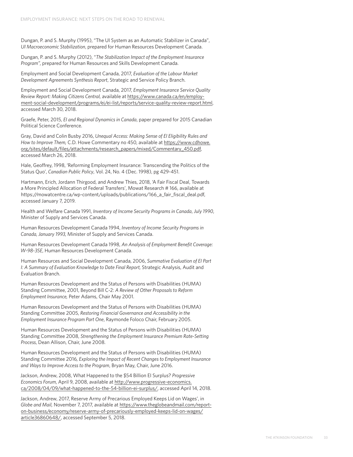Dungan, P. and S. Murphy (1995), "The UI System as an Automatic Stabilizer in Canada", *UI Macroeconomic Stabilization*, prepared for Human Resources Development Canada.

Dungan, P. and S. Murphy (2012), "*The Stabilization Impact of the Employment Insurance Program",* prepared for Human Resources and Skills Development Canada.

Employment and Social Development Canada, 2017, *Evaluation of the Labour Market Development Agreements Synthesis Report*, Strategic and Service Policy Branch.

Employment and Social Development Canada, 2017, *Employment Insurance Service Quality Review Report: Making Citizens Central,* available at [https://www.canada.ca/en/employ](https://www.canada.ca/en/employment-social-development/programs/ei/ei-list/reports/service-quality-review-report.html)[ment-social-development/programs/ei/ei-list/reports/service-quality-review-report.html,](https://www.canada.ca/en/employment-social-development/programs/ei/ei-list/reports/service-quality-review-report.html) accessed March 30, 2018.

Graefe, Peter, 2015, *EI and Regional Dynamics in Canada*, paper prepared for 2015 Canadian Political Science Conference.

Gray, David and Colin Busby 2016, *Unequal Access: Making Sense of EI Eligibility Rules and How to Improve Them,* C.D. Howe Commentary no 450, available at [https://www.cdhowe.](https://www.cdhowe.org/sites/default/files/attachments/research_papers/mixed/Commentary_450.pdf) [org/sites/default/files/attachments/research\\_papers/mixed/Commentary\\_450.pdf](https://www.cdhowe.org/sites/default/files/attachments/research_papers/mixed/Commentary_450.pdf), accessed March 26, 2018.

Hale, Geoffrey, 1998, 'Reforming Employment Insurance: Transcending the Politics of the Status Quo', *Canadian Public Policy*, Vol. 24, No. 4 (Dec. 1998), pg 429-451.

Hartmann, Erich, Jordann Thirgood, and Andrew Thies, 2018, 'A Fair Fiscal Deal, Towards a More Principled Allocation of Federal Transfers', Mowat Research # 166, available at https://mowatcentre.ca/wp-content/uploads/publications/166\_a\_fair\_fiscal\_deal.pdf, accessed January 7, 2019.

Health and Welfare Canada 1991, *Inventory of Income Security Programs in Canada*, *July 1990*, Minister of Supply and Services Canada.

Human Resources Development Canada 1994, *Inventory of Income Security Programs in Canada, January 1993,* Minister of Supply and Services Canada.

Human Resources Development Canada 1998, *An Analysis of Employment Benefit Coverage: W-98-35E*, Human Resources Development Canada.

Human Resources and Social Development Canada, 2006, *Summative Evaluation of EI Part I: A Summary of Evaluation Knowledge to Date Final Report,* Strategic Analysis, Audit and Evaluation Branch.

Human Resources Development and the Status of Persons with Disabilities (HUMA) Standing Committee, 2001, Beyond Bill C-2: *A Review of Other Proposals to Reform Employment Insurance,* Peter Adams, Chair May 2001.

Human Resources Development and the Status of Persons with Disabilities (HUMA) Standing Committee 2005, *Restoring Financial Governance and Accessibility in the Employment Insurance Program Part One*, Raymonde Foloco Chair, February 2005.

Human Resources Development and the Status of Persons with Disabilities (HUMA) Standing Committee 2008, *Strengthening the Employment Insurance Premium Rate-Setting Process*, Dean Allison, Chair, June 2008.

Human Resources Development and the Status of Persons with Disabilities (HUMA) Standing Committee 2016*, Exploring the Impact of Recent Changes to Employment Insurance and Ways to Improve Access to the Program*, Bryan May, Chair, June 2016.

Jackson, Andrew, 2008, What Happened to the \$54 Billion EI Surplus? *Progressive Economics Forum*, April 9, 2008, available at [http://www.progressive-economics.](http://www.progressive-economics.ca/2008/04/09/what-happened-to-the-54-billion-ei-surplus/) [ca/2008/04/09/what-happened-to-the-54-billion-ei-surplus/](http://www.progressive-economics.ca/2008/04/09/what-happened-to-the-54-billion-ei-surplus/), accessed April 14, 2018.

Jackson, Andrew, 2017, Reserve Army of Precarious Employed Keeps Lid on Wages', in *Globe and Mail,* November 7, 2017, available at [https://www.theglobeandmail.com/report](https://www.theglobeandmail.com/report-on-business/economy/reserve-army-of-precariously-employed-keeps-lid-on-wages/article36860648/)[on-business/economy/reserve-army-of-precariously-employed-keeps-lid-on-wages/](https://www.theglobeandmail.com/report-on-business/economy/reserve-army-of-precariously-employed-keeps-lid-on-wages/article36860648/) [article36860648/,](https://www.theglobeandmail.com/report-on-business/economy/reserve-army-of-precariously-employed-keeps-lid-on-wages/article36860648/) accessed September 5, 2018.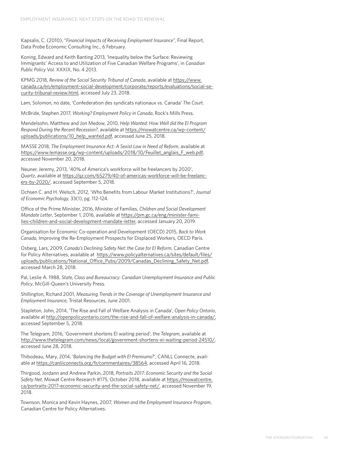Kapsalis, C. (2010), "*Financial Impacts of Receiving Employment Insurance"*, Final Report, Data Probe Economic Consulting Inc., 6 February.

Koning, Edward and Keith Banting 2013, 'Inequality below the Surface: Reviewing Immigrants' Access to and Utilization of Five Canadian Welfare Programs', in *Canadian Public Policy* Vol. XXXIX, No. 4 2013.

KPMG 2018, *Review of the Social Security Tribunal of Canada*, available at [https://www.](https://www.canada.ca/en/employment-social-development/corporate/reports/evaluations/social-security-tribunal-review.html) [canada.ca/en/employment-social-development/corporate/reports/evaluations/social-se](https://www.canada.ca/en/employment-social-development/corporate/reports/evaluations/social-security-tribunal-review.html)[curity-tribunal-review.html](https://www.canada.ca/en/employment-social-development/corporate/reports/evaluations/social-security-tribunal-review.html), accessed July 23, 2018.

Lam, Solomon, no date, 'Confederation des syndicats nationaux vs. Canada' *The Court*.

McBride, Stephen 2017, *Working? Employment Policy in Canada*, Rock's Mills Press.

Mendelsohn, Matthew and Jon Medow, 2010, *Help Wanted: How Well did the EI Program Respond During the Recent Recession?,* available at [https://mowatcentre.ca/wp-content/](https://mowatcentre.ca/wp-content/uploads/publications/10_help_wanted.pdf) [uploads/publications/10\\_help\\_wanted.pdf](https://mowatcentre.ca/wp-content/uploads/publications/10_help_wanted.pdf), accessed June 25, 2018.

MASSE 2018, *The Employment Insurance Act: A Sexist Law in Need of Reform*, available at [https://www.lemasse.org/wp-content/uploads/2018/10/Feuillet\\_anglais\\_F\\_web.pdf,](https://www.lemasse.org/wp-content/uploads/2018/10/Feuillet_anglais_F_web.pdf) accessed November 20, 2018.

Neuner, Jeremy, 2013, '40% of America's workforce will be freelancers by 2020', *Quartz*, available at [https://qz.com/65279/40-of-americas-workforce-will-be-freelanc](https://qz.com/65279/40-of-americas-workforce-will-be-freelancers-by-2020/)[ers-by-2020/,](https://qz.com/65279/40-of-americas-workforce-will-be-freelancers-by-2020/) accessed September 5, 2018.

Ochsen C. and H. Welsch, 2012, 'Who Benefits from Labour Market Institutions?', *Journal of Economic Psychology,* 33(1), pg. 112-124.

Office of the Prime Minister, 2016, Minister of Families, *Children and Social Development Mandate Letter*, September 1, 2016, available at [https://pm.gc.ca/eng/minister-fami](https://pm.gc.ca/eng/minister-families-children-and-social-development-mandate-letter)[lies-children-and-social-development-mandate-letter,](https://pm.gc.ca/eng/minister-families-children-and-social-development-mandate-letter) accessed January 20, 2019.

Organisation for Economic Co-operation and Development (OECD) 2015, *Back to Work Canada*, Improving the Re-Employment Prospects for Displaced Workers, OECD Paris.

Osberg, Lars, 2009, *Canada's Declining Safety Net: the Case for EI Reform*, Canadian Centre for Policy Alternatives, available at [https://www.policyalternatives.ca/sites/default/files/](https://www.policyalternatives.ca/sites/default/files/uploads/publications/National_Office_Pubs/2009/Canadas_Declining_Safety_Net.pdf) [uploads/publications/National\\_Office\\_Pubs/2009/Canadas\\_Declining\\_Safety\\_Net.pdf](https://www.policyalternatives.ca/sites/default/files/uploads/publications/National_Office_Pubs/2009/Canadas_Declining_Safety_Net.pdf), accessed March 28, 2018.

Pal, Leslie A. 1988, *State, Class and Bureaucracy: Canadian Unemployment Insurance and Public Policy*, McGill-Queen's University Press.

Shillington, Richard 2001, *Measuring Trends in the Coverage of Unemployment Insurance and Employment Insurance,* Tristat Resources, June 2001.

Stapleton, John, 2014, 'The Rise and Fall of Welfare Analysis in Canada', *Open Policy Ontario*, available at<http://openpolicyontario.com/the-rise-and-fall-of-welfare-analysis-in-canada/>, accessed September 5, 2018.

The Telegram, 2016, 'Government shortens EI waiting period', the *Telegram*, available at [http://www.thetelegram.com/news/local/government-shortens-ei-waiting-period-24510/,](http://www.thetelegram.com/news/local/government-shortens-ei-waiting-period-24510/) accessed June 28, 2018.

Thibodeau, Mary, 2014, '*Balancing the Budget with EI Premiums?'*, CANLL Connecte, available at<https://canliiconnects.org/fr/commentaires/38564>, accessed April 16, 2018.

Thirgood, Jordann and Andrew Parkin, 2018, *Portraits 2017: Economic Security and the Social Safety Net*, Mowat Centre Research #175, October 2018, available at [https://mowatcentre.](https://mowatcentre.ca/portraits-2017-economic-security-and-the-social-safety-net/) [ca/portraits-2017-economic-security-and-the-social-safety-net/,](https://mowatcentre.ca/portraits-2017-economic-security-and-the-social-safety-net/) accessed November 19, 2018.

Townson, Monica and Kevin Haynes, 2007, *Women and the Employment Insurance Program*, Canadian Centre for Policy Alternatives.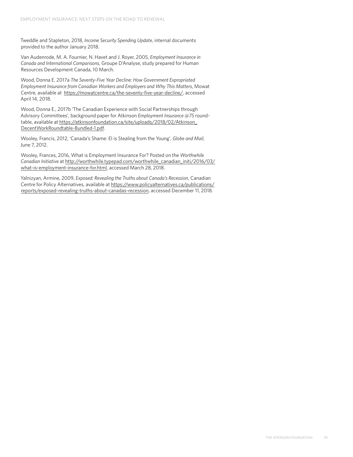Tweddle and Stapleton, 2018, *Income Security Spending Update*, internal documents provided to the author January 2018.

Van Audenrode, M. A. Fournier, N. Havet and J. Royer, 2005, *Employment Insurance in Canada and International Comparisons*, Groupe D'Analyse, study prepared for Human Resources Development Canada, 10 March.

Wood, Donna E. 2017a *The Seventy-Five Year Decline: How Government Expropriated Employment Insurance from Canadian Workers and Employers and Why This Matters*, Mowat Centre, available at <https://mowatcentre.ca/the-seventy-five-year-decline/>, accessed April 14, 2018.

Wood, Donna E., 2017b 'The Canadian Experience with Social Partnerships through Advisory Committees'*,* background paper for Atkinson *Employment Insurance @75* roundtable, available at [https://atkinsonfoundation.ca/site/uploads/2018/02/Atkinson\\_](https://atkinsonfoundation.ca/site/uploads/2018/02/Atkinson_DecentWorkRoundtable-Bundled-1.pdf) [DecentWorkRoundtable-Bundled-1.pdf](https://atkinsonfoundation.ca/site/uploads/2018/02/Atkinson_DecentWorkRoundtable-Bundled-1.pdf).

Wooley, Francis, 2012, 'Canada's Shame: EI is Stealing from the Young', *Globe and Mail*, June 7, 2012.

Wooley, Frances, 2016, What is Employment Insurance For? Posted on the *Worthwhile Canadian Initiative* at [http://worthwhile.typepad.com/worthwhile\\_canadian\\_initi/2016/03/](http://worthwhile.typepad.com/worthwhile_canadian_initi/2016/03/what-is-employment-insurance-for.html) [what-is-employment-insurance-for.html,](http://worthwhile.typepad.com/worthwhile_canadian_initi/2016/03/what-is-employment-insurance-for.html) accessed March 28, 2018.

Yalnizyan, Armine, 2009, *Exposed: Revealing the Truths about Canada's Recession*, Canadian Centre for Policy Alternatives, available at [https://www.policyalternatives.ca/publications/](https://www.policyalternatives.ca/publications/reports/exposed-revealing-truths-about-canadas-recession) [reports/exposed-revealing-truths-about-canadas-recession,](https://www.policyalternatives.ca/publications/reports/exposed-revealing-truths-about-canadas-recession) accessed December 11, 2018.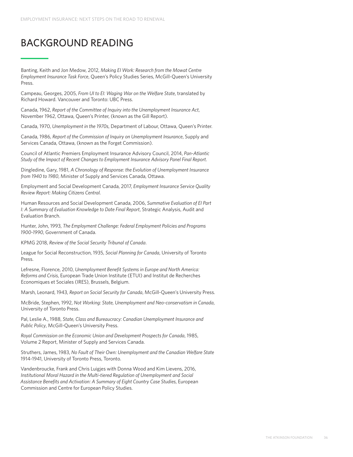## BACKGROUND READING

Banting, Keith and Jon Medow, 2012, *Making EI Work: Research from the Mowat Centre Employment Insurance Task Force*, Queen's Policy Studies Series, McGill-Queen's University Press.

Campeau, Georges, 2005, *From UI to EI: Waging War on the Welfare State*, translated by Richard Howard. Vancouver and Toronto: UBC Press.

Canada, 1962, *Report of the Committee of Inquiry into the Unemployment Insurance Act*, November 1962, Ottawa, Queen's Printer, (known as the Gill Report).

Canada, 1970, *Unemployment in the 1970s*, Department of Labour, Ottawa, Queen's Printer.

Canada, 1986, *Report of the Commission of Inquiry on Unemployment Insurance*, Supply and Services Canada, Ottawa, (known as the Forget Commission).

Council of Atlantic Premiers Employment Insurance Advisory Council, 2014, *Pan-Atlantic Study of the Impact of Recent Changes to Employment Insurance Advisory Panel Final Report*.

Dingledine, Gary, 1981, *A Chronology of Response: the Evolution of Unemployment Insurance from 1940 to 1980*, Minister of Supply and Services Canada, Ottawa.

Employment and Social Development Canada, 2017, *Employment Insurance Service Quality Review Report: Making Citizens Central.*

Human Resources and Social Development Canada, 2006, *Summative Evaluation of EI Part I: A Summary of Evaluation Knowledge to Date Final Report*, Strategic Analysis, Audit and Evaluation Branch.

Hunter, John, 1993, *The Employment Challenge: Federal Employment Policies and Programs 1900-1990*, Government of Canada.

KPMG 2018, *Review of the Social Security Tribunal of Canada*.

League for Social Reconstruction, 1935, *Social Planning for Canada*, University of Toronto Press.

Lefresne, Florence, 2010, *Unemployment Benefit Systems in Europe and North America: Reforms and Crisis*, European Trade Union Institute (ETUI) and Institut de Recherches Economiques et Sociales (IRES), Brussels, Belgium.

Marsh, Leonard, 1943, *Report on Social Security for Canada*, McGill-Queen's University Press.

McBride, Stephen, 1992, *Not Working: State, Unemployment and Neo-conservatism in Canada*, University of Toronto Press.

Pal, Leslie A., 1988, *State, Class and Bureaucracy: Canadian Unemployment Insurance and Public Policy*, McGill-Queen's University Press.

*Royal Commission on the Economic Union and Development Prospects for Canada*, 1985, Volume 2 Report, Minister of Supply and Services Canada.

Struthers, James, 1983, *No Fault of Their Own: Unemployment and the Canadian Welfare State* 1914-1941, University of Toronto Press, Toronto.

Vandenbroucke, Frank and Chris Luigjes with Donna Wood and Kim Lievens, 2016, *Institutional Moral Hazard in the Multi-tiered Regulation of Unemployment and Social Assistance Benefits and Activation: A Summary of Eight Country Case Studies*, European Commission and Centre for European Policy Studies.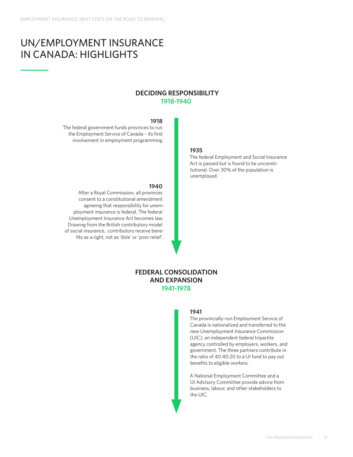## UN/EMPLOYMENT INSURANCE IN CANADA: HIGHLIGHTS

### **DECIDING RESPONSIBILITY 1918-1940**

#### **1918**

The federal government funds provinces to run the Employment Service of Canada – its first involvement in employment programming.

## **1935**

The federal Employment and Social Insurance Act is passed but is found to be unconstitutional. Over 30% of the population is unemployed.

#### **1940**

After a Royal Commission, all provinces consent to a constitutional amendment agreeing that responsibility for unemployment insurance is federal. The federal Unemployment Insurance Act becomes law. Drawing from the British contributory model of social insurance, contributors receive benefits as a right, not as 'dole' or 'poor relief'.

## **FEDERAL CONSOLIDATION AND EXPANSION 1941-1978**

#### **1941**

The provincially-run Employment Service of Canada is nationalized and transferred to the new Unemployment Insurance Commission (UIC), an independent federal tripartite agency controlled by employers, workers, and government. The three partners contribute in the ratio of 40:40:20 to a UI fund to pay out benefits to eligible workers.

A National Employment Committee and a UI Advisory Committee provide advice from business, labour, and other stakeholders to the UIC.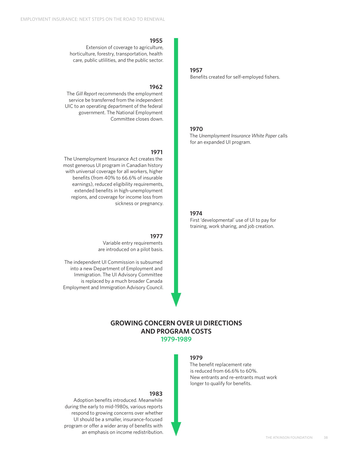#### **1955**

Extension of coverage to agriculture, horticulture, forestry, transportation, health care, public utlilities, and the public sector.

#### **1962**

The *Gill Report* recommends the employment service be transferred from the independent UIC to an operating department of the federal government. The National Employment Committee closes down.

#### **1971**

The Unemployment Insurance Act creates the most generous UI program in Canadian history with universal coverage for all workers, higher benefits (from 40% to 66.6% of insurable earnings), reduced eligibility requirements, extended benefits in high-unemployment regions, and coverage for income loss from sickness or pregnancy.

#### **1977**

Variable entry requirements are introduced on a pilot basis.

The independent UI Commission is subsumed into a new Department of Employment and Immigration. The UI Advisory Committee is replaced by a much broader Canada Employment and Immigration Advisory Council.

#### **1957**

Benefits created for self-employed fishers.

#### **1970**

The *Unemployment Insurance White Paper* calls for an expanded UI program.

#### **1974**

First 'developmental' use of UI to pay for training, work sharing, and job creation.

### **GROWING CONCERN OVER UI DIRECTIONS AND PROGRAM COSTS 1979-1989**

#### **1979**

The benefit replacement rate is reduced from 66.6% to 60%. New entrants and re-entrants must work longer to qualify for benefits.

#### **1983**

Adoption benefits introduced. Meanwhile during the early to mid-1980s, various reports respond to growing concerns over whether UI should be a smaller, insurance-focused program or offer a wider array of benefits with an emphasis on income redistribution.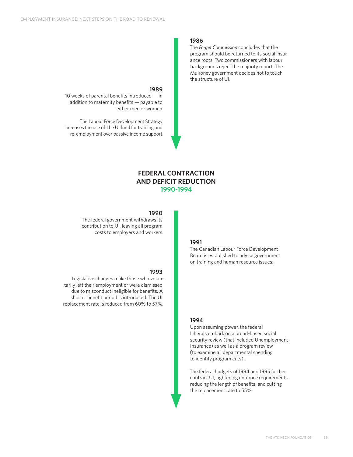#### **1986**

The *Forget Commission* concludes that the program should be returned to its social insurance roots. Two commissioners with labour backgrounds reject the majority report. The Mulroney government decides not to touch the structure of UI.

## **1989**

10 weeks of parental benefits introduced — in addition to maternity benefits — payable to either men or women.

The Labour Force Development Strategy increases the use of the UI fund for training and re-employment over passive income support.

### **FEDERAL CONTRACTION AND DEFICIT REDUCTION 1990-1994**

#### **1990**

**1993**

The federal government withdraws its contribution to UI, leaving all program costs to employers and workers.

Legislative changes make those who voluntarily left their employment or were dismissed

shorter benefit period is introduced. The UI replacement rate is reduced from 60% to 57%.

## **1991**

The Canadian Labour Force Development Board is established to advise government on training and human resource issues.

#### due to misconduct ineligible for benefits. A

#### **1994**

Upon assuming power, the federal Liberals embark on a broad-based social security review (that included Unemployment Insurance) as well as a program review (to examine all departmental spending to identify program cuts).

The federal budgets of 1994 and 1995 further contract UI, tightening entrance requirements, reducing the length of benefits, and cutting the replacement rate to 55%.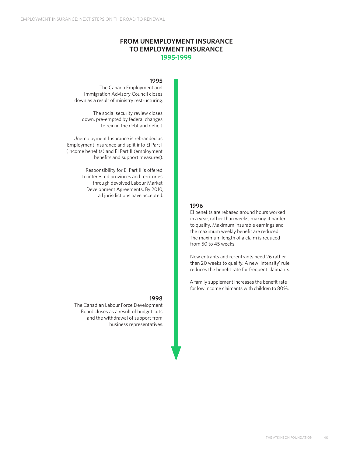## **FROM UNEMPLOYMENT INSURANCE TO EMPLOYMENT INSURANCE 1995-1999**

#### **1995**

The Canada Employment and Immigration Advisory Council closes down as a result of ministry restructuring.

The social security review closes down, pre-empted by federal changes to rein in the debt and deficit.

Unemployment Insurance is rebranded as Employment Insurance and split into EI Part I (income benefits) and EI Part II (employment benefits and support measures).

> Responsibility for EI Part II is offered to interested provinces and territories through devolved Labour Market Development Agreements. By 2010, all jurisdictions have accepted.

#### **1996**

EI benefits are rebased around hours worked in a year, rather than weeks, making it harder to qualify. Maximum insurable earnings and the maximum weekly benefit are reduced. The maximum length of a claim is reduced from 50 to 45 weeks.

New entrants and re-entrants need 26 rather than 20 weeks to qualify. A new 'intensity' rule reduces the benefit rate for frequent claimants.

A family supplement increases the benefit rate for low income claimants with children to 80%.

#### **1998**

The Canadian Labour Force Development Board closes as a result of budget cuts and the withdrawal of support from business representatives.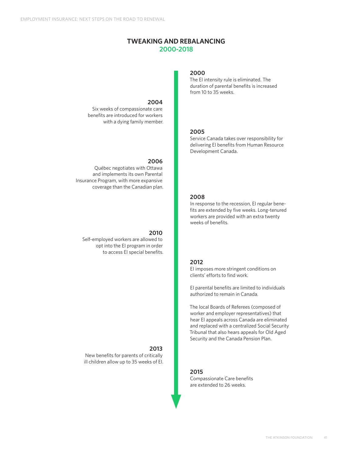## **TWEAKING AND REBALANCING 2000-2018**

#### **2004**

Six weeks of compassionate care benefits are introduced for workers with a dying family member.

#### **2006**

Québec negotiates with Ottawa and implements its own Parental Insurance Program, with more expansive coverage than the Canadian plan.

#### **2010**

Self-employed workers are allowed to opt into the EI program in order to access EI special benefits.

#### **2013** New benefits for parents of critically

ill children allow up to 35 weeks of EI.

#### **2000**

The EI intensity rule is eliminated. The duration of parental benefits is increased from 10 to 35 weeks.

#### **2005**

Service Canada takes over responsibility for delivering EI benefits from Human Resource Development Canada.

#### **2008**

In response to the recession, EI regular benefits are extended by five weeks. Long-tenured workers are provided with an extra twenty weeks of benefits.

#### **2012**

EI imposes more stringent conditions on clients' efforts to find work.

EI parental benefits are limited to individuals authorized to remain in Canada.

The local Boards of Referees (composed of worker and employer representatives) that hear EI appeals across Canada are eliminated and replaced with a centralized Social Security Tribunal that also hears appeals for Old Aged Security and the Canada Pension Plan.

#### **2015**

Compassionate Care benefits are extended to 26 weeks.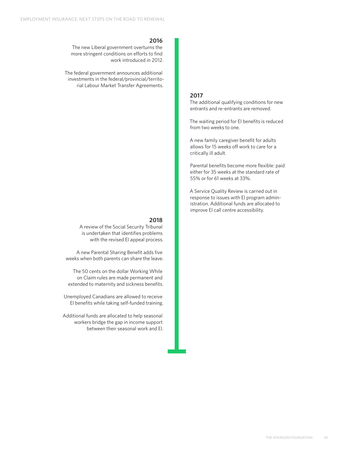#### **2016**

The new Liberal government overturns the more stringent conditions on efforts to find work introduced in 2012.

The federal government announces additional investments in the federal/provincial/territorial Labour Market Transfer Agreements.

## **2017**

The additional qualifying conditions for new entrants and re-entrants are removed.

The waiting period for EI benefits is reduced from two weeks to one.

A new family caregiver benefit for adults allows for 15 weeks off work to care for a critically ill adult.

Parental benefits become more flexible: paid either for 35 weeks at the standard rate of 55% or for 61 weeks at 33%.

A Service Quality Review is carried out in response to issues with EI program administration. Additional funds are allocated to improve EI call centre accessibility.

### **2018**

A review of the Social Security Tribunal is undertaken that identifies problems with the revised EI appeal process.

A new Parental Sharing Benefit adds five weeks when both parents can share the leave.

The 50 cents on the dollar Working While on Claim rules are made permanent and extended to maternity and sickness benefits.

Unemployed Canadians are allowed to receive EI benefits while taking self-funded training.

Additional funds are allocated to help seasonal workers bridge the gap in income support between their seasonal work and EI.